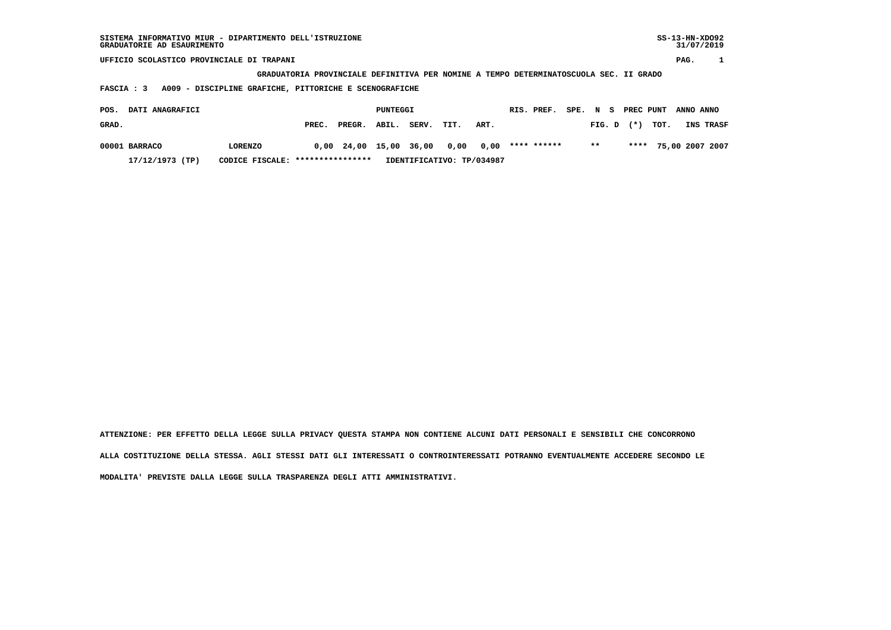| SISTEMA INFORMATIVO MIUR - DIPARTIMENTO DELL'ISTRUZIONE<br>GRADUATORIE AD ESAURIMENTO |                                                                                       |              |          |       |      |      |  |             |          |        |  |           |      |           | $SS-13-HN-XDO92$<br>31/07/2019 |
|---------------------------------------------------------------------------------------|---------------------------------------------------------------------------------------|--------------|----------|-------|------|------|--|-------------|----------|--------|--|-----------|------|-----------|--------------------------------|
| UFFICIO SCOLASTICO PROVINCIALE DI TRAPANI                                             |                                                                                       |              |          |       |      |      |  |             |          |        |  |           |      | PAG.      |                                |
|                                                                                       | GRADUATORIA PROVINCIALE DEFINITIVA PER NOMINE A TEMPO DETERMINATOSCUOLA SEC. II GRADO |              |          |       |      |      |  |             |          |        |  |           |      |           |                                |
| A009 - DISCIPLINE GRAFICHE, PITTORICHE E SCENOGRAFICHE<br>FASCIA : 3                  |                                                                                       |              |          |       |      |      |  |             |          |        |  |           |      |           |                                |
|                                                                                       |                                                                                       |              |          |       |      |      |  |             |          |        |  |           |      |           |                                |
| DATI ANAGRAFICI<br>POS.                                                               |                                                                                       |              | PUNTEGGI |       |      |      |  | RIS. PREF.  | SPE. N S |        |  | PREC PUNT |      | ANNO ANNO |                                |
| GRAD.                                                                                 | PREC.                                                                                 | PREGR.       | ABIL.    | SERV. | TIT. | ART. |  |             |          | FIG. D |  | $(* )$    | TOT. |           | INS TRASF                      |
| 00001 BARRACO<br><b>LORENZO</b>                                                       |                                                                                       | $0,00$ 24,00 | 15,00    | 36,00 | 0,00 | 0,00 |  | **** ****** |          | $***$  |  | ****      |      |           | 75,00 2007 2007                |
| ****************<br>17/12/1973 (TP)<br>IDENTIFICATIVO: TP/034987<br>CODICE FISCALE:   |                                                                                       |              |          |       |      |      |  |             |          |        |  |           |      |           |                                |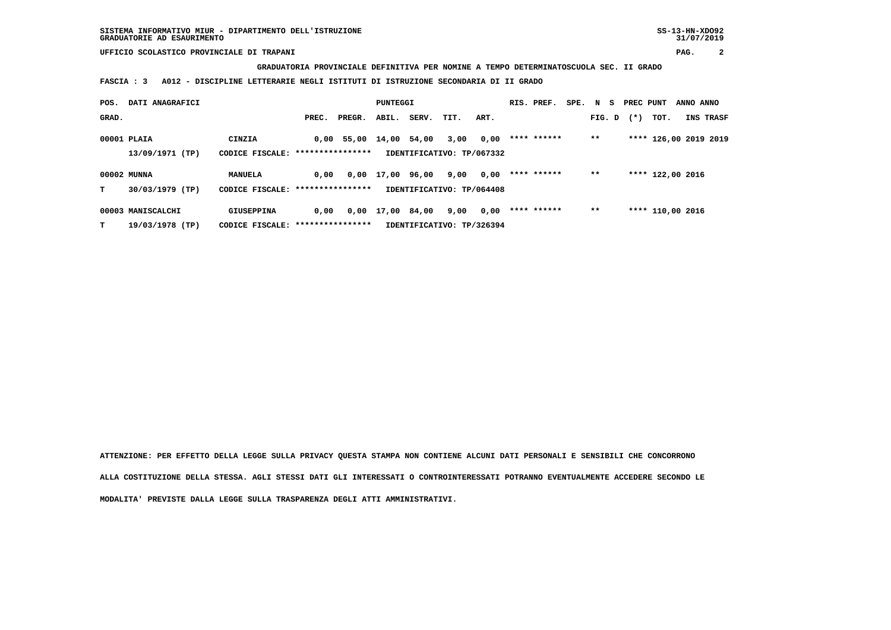**GRADUATORIA PROVINCIALE DEFINITIVA PER NOMINE A TEMPO DETERMINATOSCUOLA SEC. II GRADO**

 **FASCIA : 3 A012 - DISCIPLINE LETTERARIE NEGLI ISTITUTI DI ISTRUZIONE SECONDARIA DI II GRADO**

| POS.  | DATI ANAGRAFICI   |                                   |                  |                    | PUNTEGGI   |       |                           |      | RIS. PREF.  | SPE. N S |        | PREC PUNT |                       | ANNO ANNO |                  |
|-------|-------------------|-----------------------------------|------------------|--------------------|------------|-------|---------------------------|------|-------------|----------|--------|-----------|-----------------------|-----------|------------------|
| GRAD. |                   |                                   | PREC.            | PREGR.             | ABIL.      | SERV. | TIT.                      | ART. |             |          | FIG. D | $(*)$     | тот.                  |           | <b>INS TRASF</b> |
|       | 00001 PLAIA       | CINZIA                            |                  | $0,00$ 55,00 14,00 |            | 54,00 | 3,00                      | 0,00 | **** ****** |          | $* *$  |           | **** 126,00 2019 2019 |           |                  |
|       | 13/09/1971 (TP)   | CODICE FISCALE: ****************  |                  |                    |            |       | IDENTIFICATIVO: TP/067332 |      |             |          |        |           |                       |           |                  |
|       | 00002 MUNNA       | MANUELA                           | 0.00             | 0,00               | 17,00      | 96,00 | 9,00                      | 0,00 | **** ****** |          | $* *$  |           | **** 122,00 2016      |           |                  |
| т     | 30/03/1979 (TP)   | CODICE FISCALE: ***************** |                  |                    |            |       | IDENTIFICATIVO: TP/064408 |      |             |          |        |           |                       |           |                  |
|       | 00003 MANISCALCHI | GIUSEPPINA                        | 0.00             |                    | 0,00 17,00 | 84,00 | 9,00                      | 0,00 | **** ****** |          | $* *$  |           | **** 110,00 2016      |           |                  |
| т     | 19/03/1978 (TP)   | CODICE FISCALE:                   | **************** |                    |            |       | IDENTIFICATIVO: TP/326394 |      |             |          |        |           |                       |           |                  |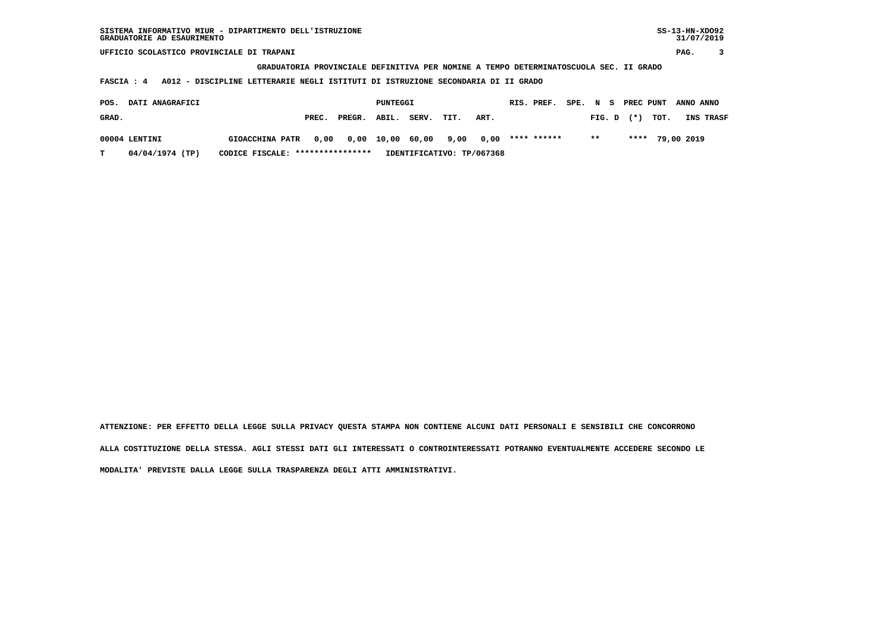**GRADUATORIA PROVINCIALE DEFINITIVA PER NOMINE A TEMPO DETERMINATOSCUOLA SEC. II GRADO**

 **FASCIA : 4 A012 - DISCIPLINE LETTERARIE NEGLI ISTITUTI DI ISTRUZIONE SECONDARIA DI II GRADO**

| POS.  | <b>DATI ANAGRAFICI</b> |                                  |       |                                 | PUNTEGGI |       |      |                           | RIS. PREF.  |              |  |                | SPE. N S PREC PUNT ANNO ANNO |                  |
|-------|------------------------|----------------------------------|-------|---------------------------------|----------|-------|------|---------------------------|-------------|--------------|--|----------------|------------------------------|------------------|
| GRAD. |                        |                                  | PREC. | PREGR. ABIL.                    |          | SERV. | TIT. | ART.                      |             |              |  | $FIG. D$ $(*)$ | тот.                         | <b>INS TRASF</b> |
|       | 00004 LENTINI          | <b>GIOACCHINA PATR</b>           |       | 0,00 0,00 10,00 60,00 9,00 0,00 |          |       |      |                           | **** ****** | $\star\star$ |  |                | **** 79,00 2019              |                  |
|       | 04/04/1974 (TP)        | CODICE FISCALE: **************** |       |                                 |          |       |      | IDENTIFICATIVO: TP/067368 |             |              |  |                |                              |                  |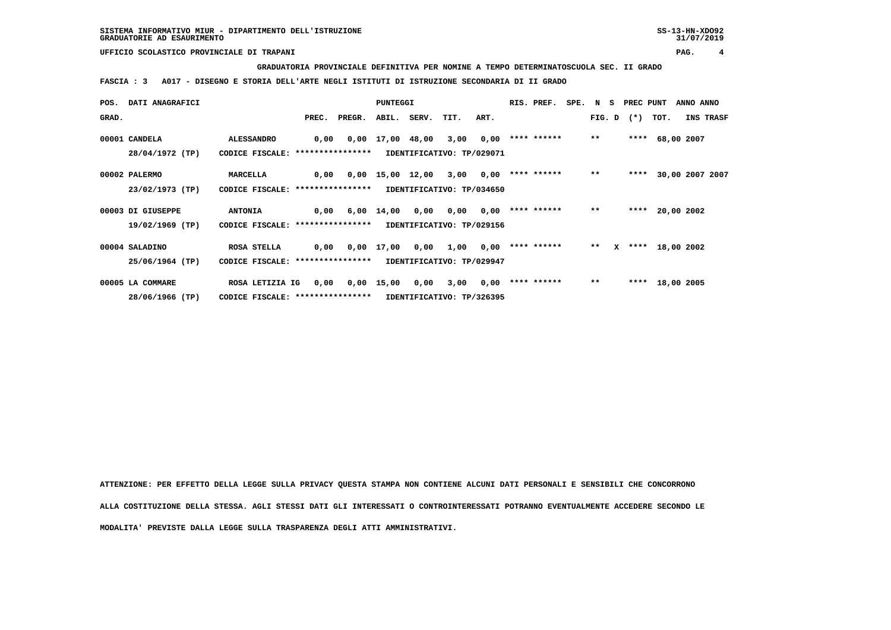**GRADUATORIA PROVINCIALE DEFINITIVA PER NOMINE A TEMPO DETERMINATOSCUOLA SEC. II GRADO**

 **FASCIA : 3 A017 - DISEGNO E STORIA DELL'ARTE NEGLI ISTITUTI DI ISTRUZIONE SECONDARIA DI II GRADO**

|       | POS. DATI ANAGRAFICI |                                   |      |              | <b>PUNTEGGI</b>    |                  |                           |      | RIS. PREF.         | SPE. N S |       |              | PREC PUNT |                   | ANNO ANNO       |                  |
|-------|----------------------|-----------------------------------|------|--------------|--------------------|------------------|---------------------------|------|--------------------|----------|-------|--------------|-----------|-------------------|-----------------|------------------|
| GRAD. |                      |                                   |      | PREC. PREGR. |                    | ABIL. SERV. TIT. |                           | ART. |                    |          |       |              |           | FIG. D $(*)$ TOT. |                 | <b>INS TRASF</b> |
|       | 00001 CANDELA        | <b>ALESSANDRO</b>                 | 0,00 |              |                    | 0,00 17,00 48,00 | 3,00                      | 0,00 | **** ******        |          | $* *$ |              |           | **** 68,00 2007   |                 |                  |
|       | 28/04/1972 (TP)      | CODICE FISCALE: ****************  |      |              |                    |                  | IDENTIFICATIVO: TP/029071 |      |                    |          |       |              |           |                   |                 |                  |
|       | 00002 PALERMO        | <b>MARCELLA</b>                   | 0,00 |              | $0,00$ 15,00 12,00 |                  | 3,00                      | 0,00 | **** ******        |          | $***$ |              | ****      |                   | 30,00 2007 2007 |                  |
|       | 23/02/1973 (TP)      | CODICE FISCALE: ****************  |      |              |                    |                  | IDENTIFICATIVO: TP/034650 |      |                    |          |       |              |           |                   |                 |                  |
|       | 00003 DI GIUSEPPE    | <b>ANTONIA</b>                    | 0,00 |              | 6,00 14,00         | 0,00             | 0,00                      |      | $0,00$ **** ****** |          | $* *$ |              |           | **** 20,00 2002   |                 |                  |
|       | 19/02/1969 (TP)      | CODICE FISCALE: ***************** |      |              |                    |                  | IDENTIFICATIVO: TP/029156 |      |                    |          |       |              |           |                   |                 |                  |
|       | 00004 SALADINO       | ROSA STELLA                       | 0,00 |              | 0,00 17,00         | 0,00             | 1,00                      | 0,00 | **** ******        |          | $* *$ | $\mathbf{x}$ |           | **** 18,00 2002   |                 |                  |
|       | 25/06/1964 (TP)      | CODICE FISCALE: ****************  |      |              |                    |                  | IDENTIFICATIVO: TP/029947 |      |                    |          |       |              |           |                   |                 |                  |
|       | 00005 LA COMMARE     | ROSA LETIZIA IG                   | 0,00 |              | $0,00$ 15,00       | 0,00             | 3,00                      | 0,00 | **** ******        |          | $***$ |              |           | **** 18,00 2005   |                 |                  |
|       | 28/06/1966 (TP)      | CODICE FISCALE: ***************** |      |              |                    |                  | IDENTIFICATIVO: TP/326395 |      |                    |          |       |              |           |                   |                 |                  |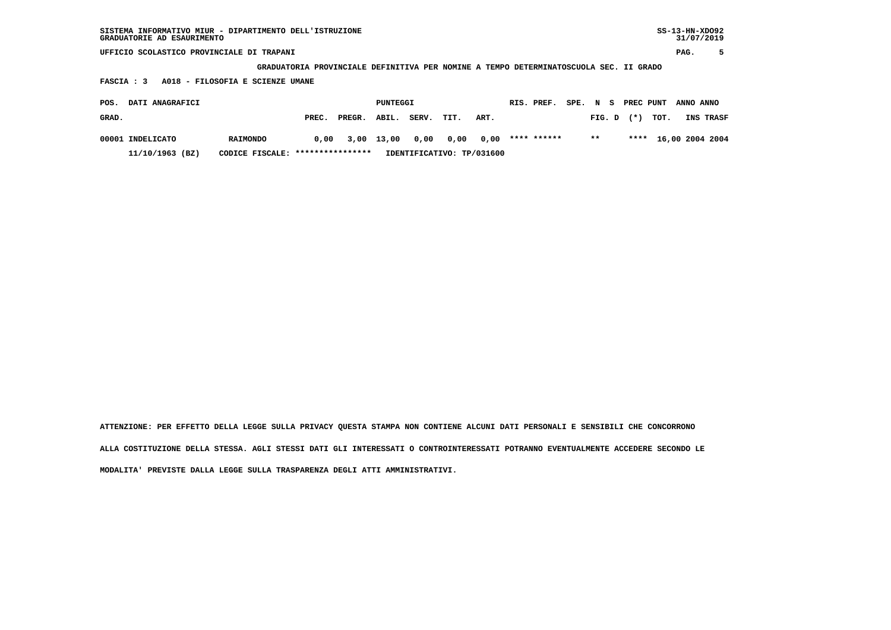| SISTEMA INFORMATIVO MIUR - DIPARTIMENTO DELL'ISTRUZIONE | SS-13-HN-XD092 |
|---------------------------------------------------------|----------------|
| GRADUATORIE AD ESAURIMENTO                              | 31/07/2019     |

 **GRADUATORIA PROVINCIALE DEFINITIVA PER NOMINE A TEMPO DETERMINATOSCUOLA SEC. II GRADO**

 **FASCIA : 3 A018 - FILOSOFIA E SCIENZE UMANE**

| POS.  | <b>DATI ANAGRAFICI</b> |                                  |       |              | PUNTEGGI |                |      |                           | RIS. PREF.  | SPE. N S |       |                | PREC PUNT ANNO ANNO |                      |  |
|-------|------------------------|----------------------------------|-------|--------------|----------|----------------|------|---------------------------|-------------|----------|-------|----------------|---------------------|----------------------|--|
| GRAD. |                        |                                  | PREC. | PREGR. ABIL. |          | SERV.          | TIT. | ART.                      |             |          |       | $FIG. D$ $(*)$ | тот.                | <b>INS TRASF</b>     |  |
|       | 00001 INDELICATO       | <b>RAIMONDO</b>                  | 0,00  | 3,00 13,00   |          | 0,00 0,00 0,00 |      |                           | **** ****** |          | $***$ |                |                     | **** 16,00 2004 2004 |  |
|       | 11/10/1963 (BZ)        | CODICE FISCALE: **************** |       |              |          |                |      | IDENTIFICATIVO: TP/031600 |             |          |       |                |                     |                      |  |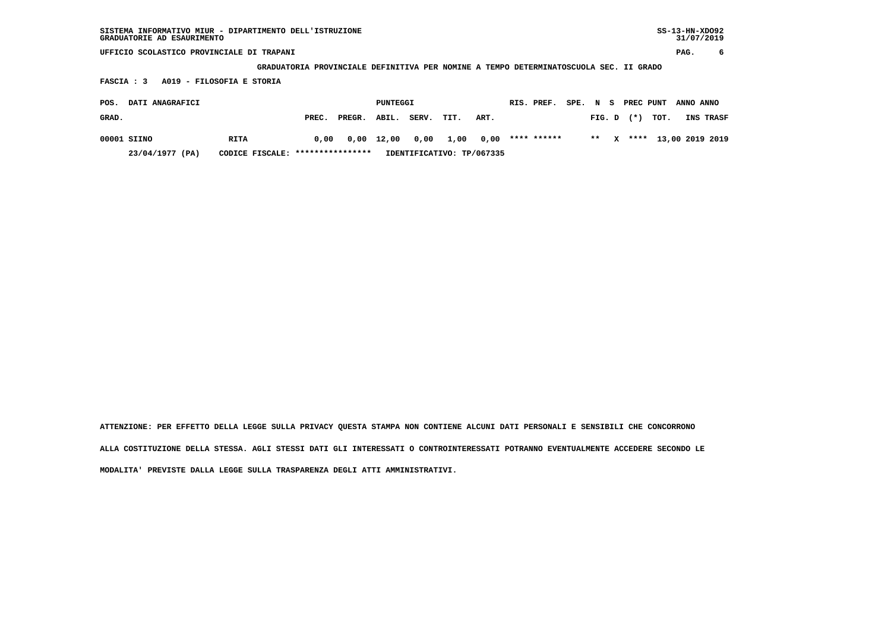| SISTEMA INFORMATIVO MIUR - DIPARTIMENTO DELL'ISTRUZIONE | SS-13-HN-XD092 |
|---------------------------------------------------------|----------------|
| GRADUATORIE AD ESAURIMENTO                              | 31/07/2019     |

 **GRADUATORIA PROVINCIALE DEFINITIVA PER NOMINE A TEMPO DETERMINATOSCUOLA SEC. II GRADO**

 **FASCIA : 3 A019 - FILOSOFIA E STORIA**

| POS.  | <b>DATI ANAGRAFICI</b> |                                  |       |              | PUNTEGGI |                                       |      |      | RIS. PREF. |  |                | SPE. N S PREC PUNT ANNO ANNO |                           |
|-------|------------------------|----------------------------------|-------|--------------|----------|---------------------------------------|------|------|------------|--|----------------|------------------------------|---------------------------|
| GRAD. |                        |                                  | PREC. | PREGR. ABIL. |          | SERV.                                 | TIT. | ART. |            |  | $FIG. D$ $(*)$ | тот.                         | <b>INS TRASF</b>          |
|       | 00001 SIINO            | RITA                             | 0,00  |              |          | 0,00 12,00 0,00 1,00 0,00 **** ****** |      |      |            |  |                |                              | ** X **** 13,00 2019 2019 |
|       | 23/04/1977 (PA)        | CODICE FISCALE: **************** |       |              |          | IDENTIFICATIVO: TP/067335             |      |      |            |  |                |                              |                           |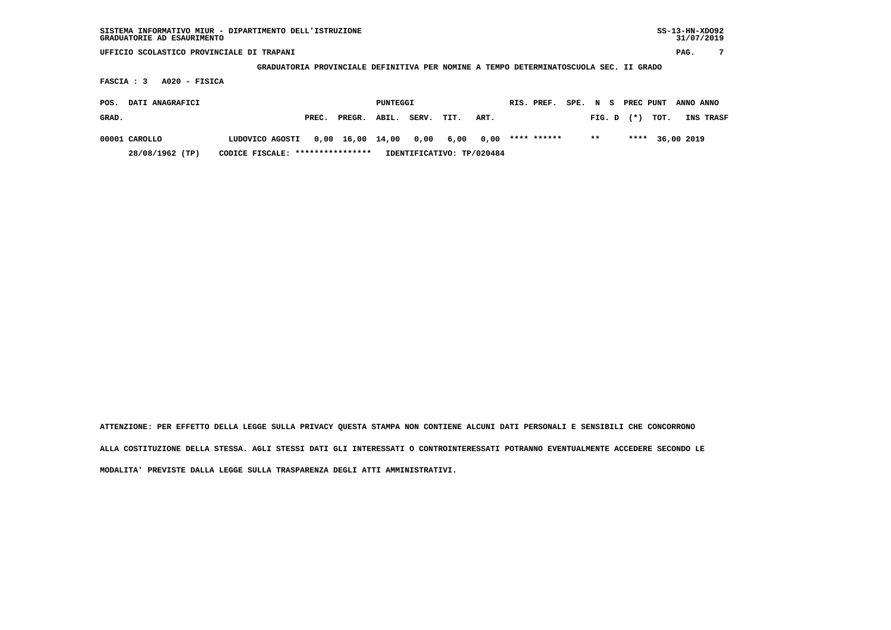| SISTEMA INFORMATIVO MIUR - DIPARTIMENTO DELL'ISTRUZIONE<br>GRADUATORIE AD ESAURIMENTO |                                                                                       |       |        |                 |       |      |                           |            |             |  |          |       |           | $SS-13-HN-XDO92$<br>31/07/2019 |           |
|---------------------------------------------------------------------------------------|---------------------------------------------------------------------------------------|-------|--------|-----------------|-------|------|---------------------------|------------|-------------|--|----------|-------|-----------|--------------------------------|-----------|
| UFFICIO SCOLASTICO PROVINCIALE DI TRAPANI                                             |                                                                                       |       |        |                 |       |      |                           |            |             |  |          |       |           | PAG.                           | 7         |
|                                                                                       | GRADUATORIA PROVINCIALE DEFINITIVA PER NOMINE A TEMPO DETERMINATOSCUOLA SEC. II GRADO |       |        |                 |       |      |                           |            |             |  |          |       |           |                                |           |
| $A020 - FISICA$<br>FASCIA : 3                                                         |                                                                                       |       |        |                 |       |      |                           |            |             |  |          |       |           |                                |           |
| DATI ANAGRAFICI<br>POS.                                                               |                                                                                       |       |        | <b>PUNTEGGI</b> |       |      |                           | RIS. PREF. |             |  | SPE. N S |       | PREC PUNT | ANNO ANNO                      |           |
| GRAD.                                                                                 |                                                                                       | PREC. | PREGR. | ABIL.           | SERV. | TIT. | ART.                      |            |             |  | FIG. D   | $(*)$ | TOT.      |                                | INS TRASF |
| 00001 CAROLLO                                                                         | LUDOVICO AGOSTI                                                                       | 0,00  | 16,00  | 14,00           | 0,00  | 6,00 | 0.00                      |            | **** ****** |  | $***$    | ****  |           | 36,00 2019                     |           |
| 28/08/1962 (TP)                                                                       | CODICE FISCALE: *****************                                                     |       |        |                 |       |      | IDENTIFICATIVO: TP/020484 |            |             |  |          |       |           |                                |           |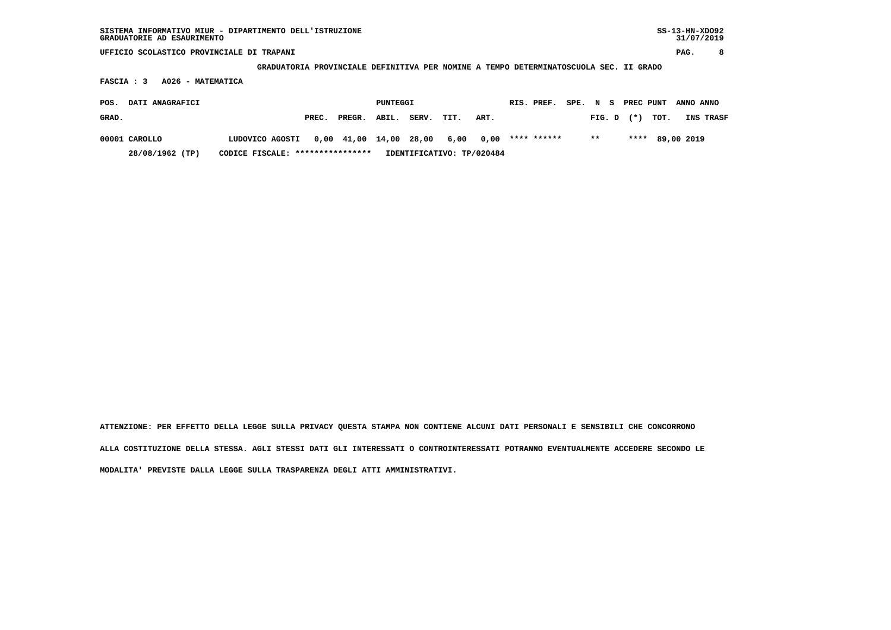**GRADUATORIA PROVINCIALE DEFINITIVA PER NOMINE A TEMPO DETERMINATOSCUOLA SEC. II GRADO**

 **FASCIA : 3 A026 - MATEMATICA**

| POS.  | <b>DATI ANAGRAFICI</b> |                                                              |       |              | PUNTEGGI |            |                           | RIS. PREF. |       |                | SPE. N S PREC PUNT ANNO ANNO |           |
|-------|------------------------|--------------------------------------------------------------|-------|--------------|----------|------------|---------------------------|------------|-------|----------------|------------------------------|-----------|
| GRAD. |                        |                                                              | PREC. | PREGR. ABIL. |          | SERV. TIT. | ART.                      |            |       | $FIG. D$ $(*)$ | тот.                         | INS TRASF |
|       | 00001 CAROLLO          | LUDOVICO AGOSTI 0,00 41,00 14,00 28,00 6,00 0,00 **** ****** |       |              |          |            |                           |            | $***$ |                | **** 89,00 2019              |           |
|       | 28/08/1962 (TP)        | CODICE FISCALE: ****************                             |       |              |          |            | IDENTIFICATIVO: TP/020484 |            |       |                |                              |           |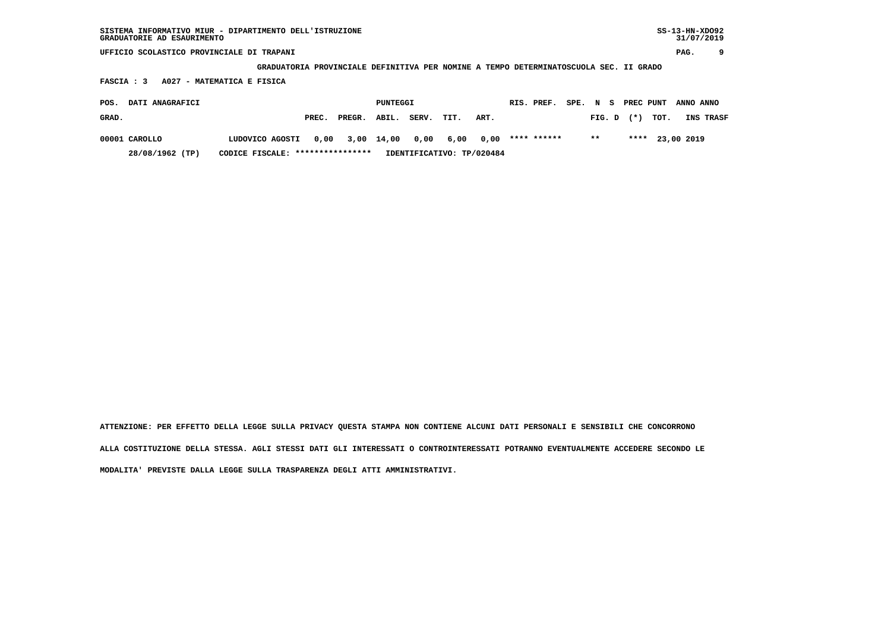| SISTEMA INFORMATIVO MIUR - DIPARTIMENTO DELL'ISTRUZIONE<br>GRADUATORIE AD ESAURIMENTO       |                                   |                           |                                                                                       | $SS-13-HN-XDO92$<br>31/07/2019       |  |  |  |  |  |  |  |  |
|---------------------------------------------------------------------------------------------|-----------------------------------|---------------------------|---------------------------------------------------------------------------------------|--------------------------------------|--|--|--|--|--|--|--|--|
| UFFICIO SCOLASTICO PROVINCIALE DI TRAPANI                                                   |                                   |                           |                                                                                       | 9<br>PAG.                            |  |  |  |  |  |  |  |  |
|                                                                                             |                                   |                           | GRADUATORIA PROVINCIALE DEFINITIVA PER NOMINE A TEMPO DETERMINATOSCUOLA SEC. II GRADO |                                      |  |  |  |  |  |  |  |  |
| A027 - MATEMATICA E FISICA<br>FASCIA : 3                                                    |                                   |                           |                                                                                       |                                      |  |  |  |  |  |  |  |  |
| DATI ANAGRAFICI<br>PUNTEGGI<br>RIS. PREF.<br>SPE. N<br>PREC PUNT<br>ANNO ANNO<br>POS.<br>s. |                                   |                           |                                                                                       |                                      |  |  |  |  |  |  |  |  |
| GRAD.                                                                                       | PREC.<br>PREGR.                   | ABIL.<br>SERV.<br>TIT.    | ART.                                                                                  | $(*)$<br>TOT.<br>INS TRASF<br>FIG. D |  |  |  |  |  |  |  |  |
| 00001 CAROLLO                                                                               | 0,00<br>3,00<br>LUDOVICO AGOSTI   | 0,00<br>14,00<br>6,00     | **** ******<br>0,00                                                                   | $***$<br>23,00 2019<br>****          |  |  |  |  |  |  |  |  |
| 28/08/1962 (TP)                                                                             | CODICE FISCALE: ***************** | IDENTIFICATIVO: TP/020484 |                                                                                       |                                      |  |  |  |  |  |  |  |  |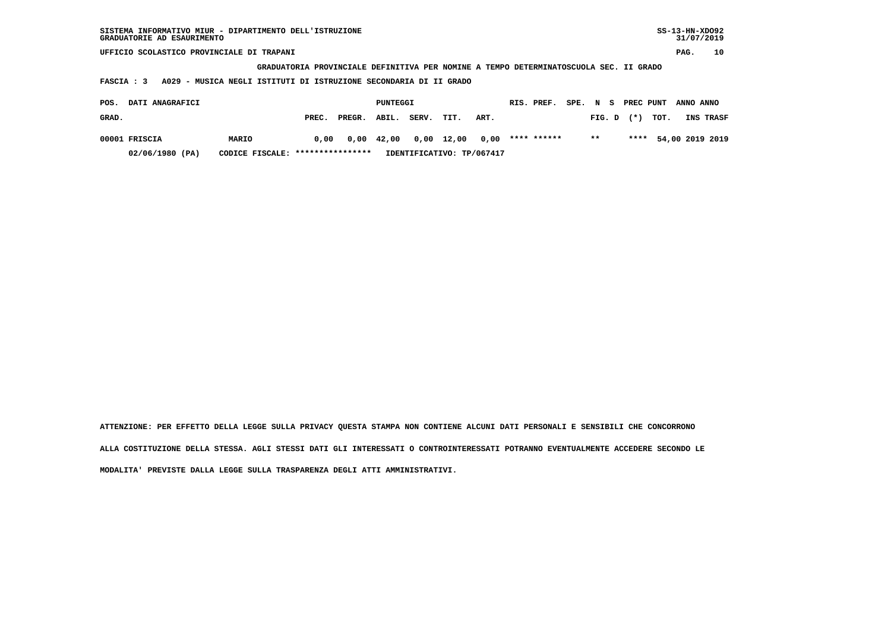| SISTEMA INFORMATIVO MIUR - DIPARTIMENTO DELL'ISTRUZIONE<br>GRADUATORIE AD ESAURIMENTO |                 |                                    |                     | $SS-13-HN-XDO92$<br>31/07/2019       |  |  |  |  |  |  |  |
|---------------------------------------------------------------------------------------|-----------------|------------------------------------|---------------------|--------------------------------------|--|--|--|--|--|--|--|
| UFFICIO SCOLASTICO PROVINCIALE DI TRAPANI                                             |                 |                                    |                     | 10<br>PAG.                           |  |  |  |  |  |  |  |
| GRADUATORIA PROVINCIALE DEFINITIVA PER NOMINE A TEMPO DETERMINATOSCUOLA SEC. II GRADO |                 |                                    |                     |                                      |  |  |  |  |  |  |  |
| A029 - MUSICA NEGLI ISTITUTI DI ISTRUZIONE SECONDARIA DI II GRADO<br>FASCIA : 3       |                 |                                    |                     |                                      |  |  |  |  |  |  |  |
| DATI ANAGRAFICI<br>POS.                                                               |                 | PUNTEGGI                           | RIS. PREF.<br>SPE.  | PREC PUNT<br>N S<br>ANNO ANNO        |  |  |  |  |  |  |  |
| GRAD.                                                                                 | PREGR.<br>PREC. | ABIL.<br>SERV.                     | TIT.<br>ART.        | TOT.<br>$(*)$<br>INS TRASF<br>FIG. D |  |  |  |  |  |  |  |
| 00001 FRISCIA<br>MARIO                                                                | 0.00            | $0,00 \quad 42,00$<br>$0,00$ 12,00 | **** ******<br>0.00 | $**$<br>****<br>54,00 2019 2019      |  |  |  |  |  |  |  |

 **02/06/1980 (PA) CODICE FISCALE: \*\*\*\*\*\*\*\*\*\*\*\*\*\*\*\* IDENTIFICATIVO: TP/067417**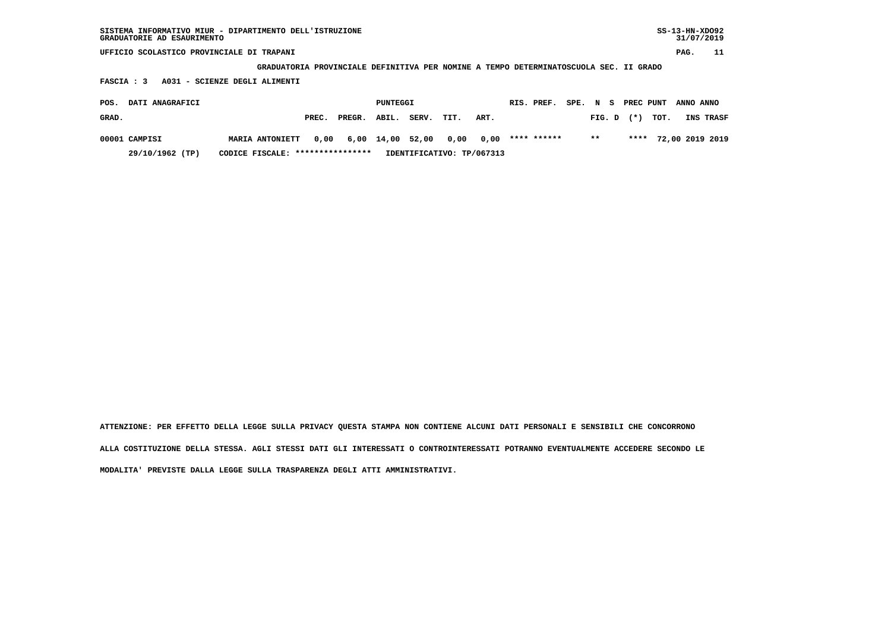| SISTEMA INFORMATIVO MIUR - DIPARTIMENTO DELL'ISTRUZIONE<br>GRADUATORIE AD ESAURIMENTO |                               |       |        |                 |       |      |      |                                                                                       |      |         |                | $SS-13-HN-XDO92$<br>31/07/2019 |           |
|---------------------------------------------------------------------------------------|-------------------------------|-------|--------|-----------------|-------|------|------|---------------------------------------------------------------------------------------|------|---------|----------------|--------------------------------|-----------|
| UFFICIO SCOLASTICO PROVINCIALE DI TRAPANI                                             |                               |       |        |                 |       |      |      |                                                                                       |      |         |                | PAG.                           | 11        |
|                                                                                       |                               |       |        |                 |       |      |      | GRADUATORIA PROVINCIALE DEFINITIVA PER NOMINE A TEMPO DETERMINATOSCUOLA SEC. II GRADO |      |         |                |                                |           |
| FASCIA : 3                                                                            | A031 - SCIENZE DEGLI ALIMENTI |       |        |                 |       |      |      |                                                                                       |      |         |                |                                |           |
| DATI ANAGRAFICI<br>POS.                                                               |                               |       |        | <b>PUNTEGGI</b> |       |      |      | RIS. PREF.                                                                            | SPE. | N<br>s. | PREC PUNT      | ANNO ANNO                      |           |
| GRAD.                                                                                 |                               | PREC. | PREGR. | ABIL.           | SERV. | TIT. | ART. |                                                                                       |      | FIG. D  | TOT.<br>$(* )$ |                                | INS TRASF |
| 00001 CAMPISI                                                                         | <b>MARIA ANTONIETT</b>        | 0,00  | 6,00   | 14,00           | 52,00 | 0,00 | 0,00 | **** ******                                                                           |      | $***$   | ****           | 72,00 2019 2019                |           |

 **29/10/1962 (TP) CODICE FISCALE: \*\*\*\*\*\*\*\*\*\*\*\*\*\*\*\* IDENTIFICATIVO: TP/067313**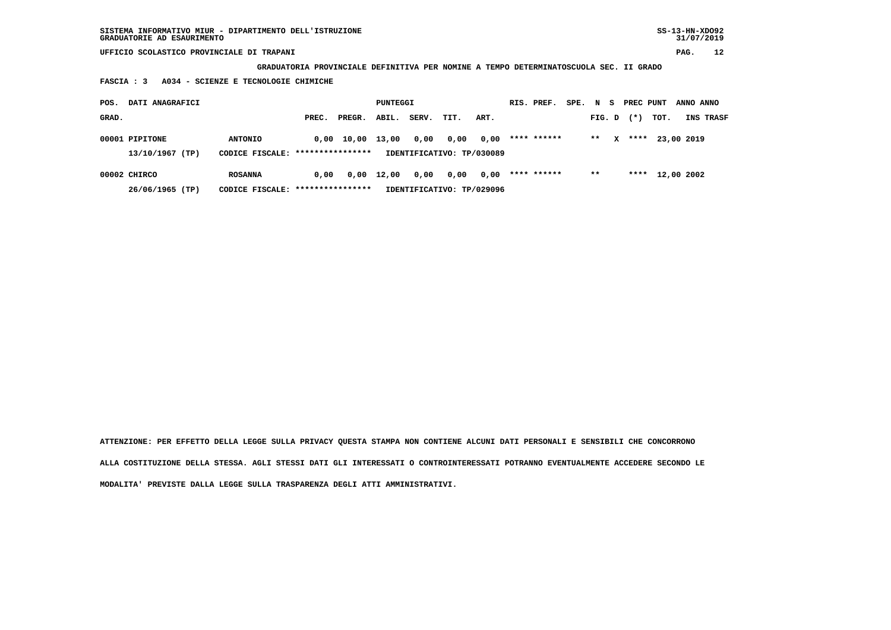**GRADUATORIA PROVINCIALE DEFINITIVA PER NOMINE A TEMPO DETERMINATOSCUOLA SEC. II GRADO**

 **FASCIA : 3 A034 - SCIENZE E TECNOLOGIE CHIMICHE**

| POS.  | DATI ANAGRAFICI |                                   |       |                        | PUNTEGGI           |       |                           |      | RIS. PREF.  | SPE. | N S    |              | PREC PUNT |                 | ANNO ANNO  |                  |
|-------|-----------------|-----------------------------------|-------|------------------------|--------------------|-------|---------------------------|------|-------------|------|--------|--------------|-----------|-----------------|------------|------------------|
| GRAD. |                 |                                   | PREC. | PREGR.                 | ABIL.              | SERV. | TIT.                      | ART. |             |      | FIG. D |              | $(*)$     | тот.            |            | <b>INS TRASF</b> |
|       | 00001 PIPITONE  | <b>ANTONIO</b>                    |       | $0,00$ $10,00$ $13,00$ |                    | 0,00  | 0,00                      | 0,00 | **** ****** |      | $* *$  | $\mathbf{x}$ | ****      |                 | 23,00 2019 |                  |
|       | 13/10/1967 (TP) | CODICE FISCALE: ****************  |       |                        |                    |       | IDENTIFICATIVO: TP/030089 |      |             |      |        |              |           |                 |            |                  |
|       | 00002 CHIRCO    | <b>ROSANNA</b>                    | 0.00  |                        | $0,00 \quad 12,00$ | 0,00  | 0,00                      | 0,00 | **** ****** |      | $***$  |              |           | **** 12,00 2002 |            |                  |
|       | 26/06/1965 (TP) | CODICE FISCALE: ***************** |       |                        |                    |       | IDENTIFICATIVO: TP/029096 |      |             |      |        |              |           |                 |            |                  |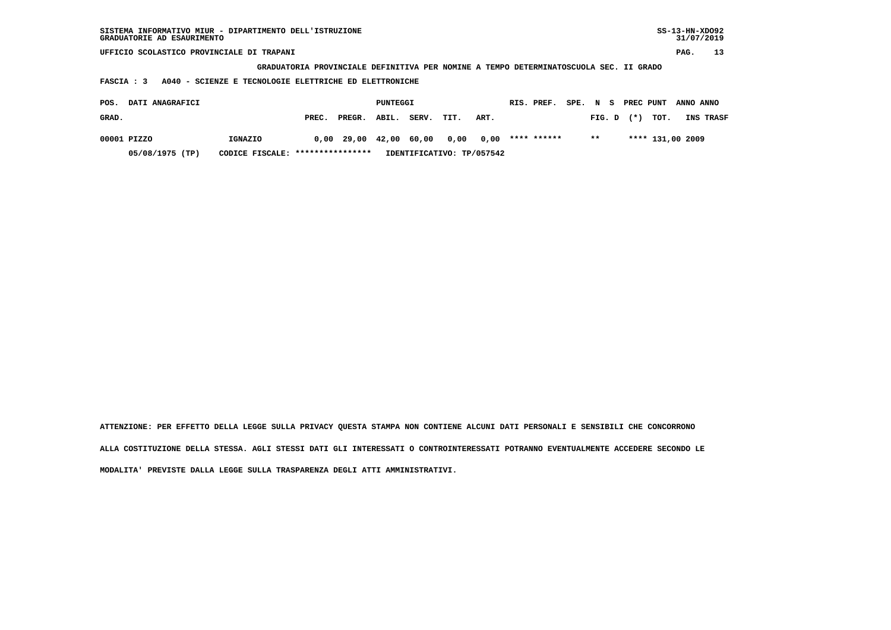| SISTEMA INFORMATIVO MIUR - DIPARTIMENTO DELL'ISTRUZIONE<br>GRADUATORIE AD ESAURIMENTO |                                                                                       |        |          |       |      |                           |  |             |      |        |  |        |                  | $SS-13-HN-XDO92$ | 31/07/2019 |
|---------------------------------------------------------------------------------------|---------------------------------------------------------------------------------------|--------|----------|-------|------|---------------------------|--|-------------|------|--------|--|--------|------------------|------------------|------------|
| UFFICIO SCOLASTICO PROVINCIALE DI TRAPANI                                             |                                                                                       |        |          |       |      |                           |  |             |      |        |  |        |                  | PAG.             | 13         |
|                                                                                       | GRADUATORIA PROVINCIALE DEFINITIVA PER NOMINE A TEMPO DETERMINATOSCUOLA SEC. II GRADO |        |          |       |      |                           |  |             |      |        |  |        |                  |                  |            |
| A040 - SCIENZE E TECNOLOGIE ELETTRICHE ED ELETTRONICHE<br>FASCIA : 3                  |                                                                                       |        |          |       |      |                           |  |             |      |        |  |        |                  |                  |            |
| PREC PUNT<br>RIS. PREF.<br>ANNO ANNO                                                  |                                                                                       |        |          |       |      |                           |  |             |      |        |  |        |                  |                  |            |
| DATI ANAGRAFICI<br>POS.                                                               |                                                                                       |        | PUNTEGGI |       |      |                           |  |             | SPE. | N S    |  |        |                  |                  |            |
| GRAD.                                                                                 | PREC.                                                                                 | PREGR. | ABIL.    | SERV. | TIT. | ART.                      |  |             |      | FIG. D |  | $(* )$ | TOT.             |                  | INS TRASF  |
| 00001 PIZZO<br>IGNAZIO                                                                | 0,00                                                                                  | 29,00  | 42,00    | 60,00 | 0,00 | 0,00                      |  | **** ****** |      | $***$  |  |        | **** 131,00 2009 |                  |            |
| 05/08/1975 (TP)<br>CODICE FISCALE:                                                    | ****************                                                                      |        |          |       |      | IDENTIFICATIVO: TP/057542 |  |             |      |        |  |        |                  |                  |            |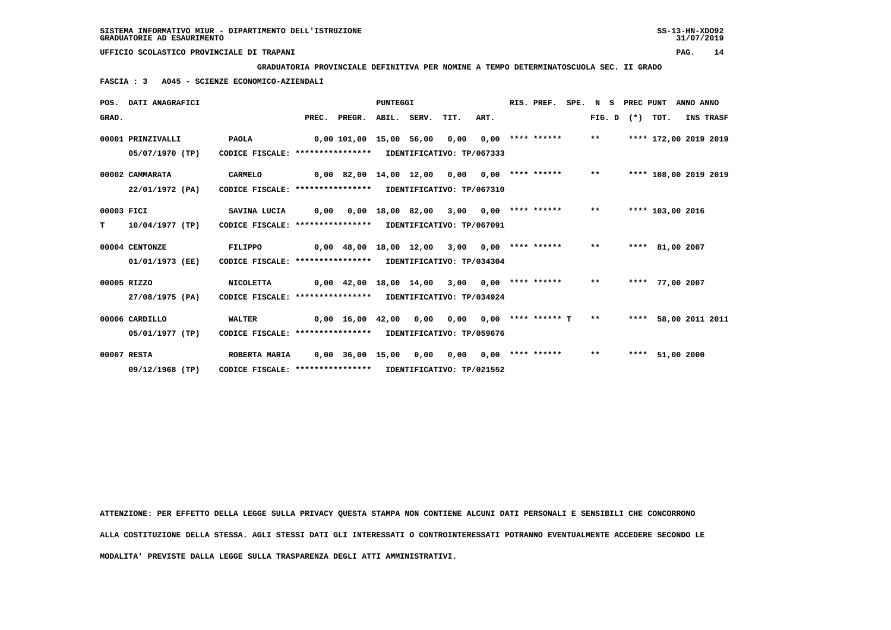**GRADUATORIA PROVINCIALE DEFINITIVA PER NOMINE A TEMPO DETERMINATOSCUOLA SEC. II GRADO**

 **FASCIA : 3 A045 - SCIENZE ECONOMICO-AZIENDALI**

|            | POS. DATI ANAGRAFICI |                                                            |      |                                                   | <b>PUNTEGGI</b> |                       |      | RIS. PREF.              |       | SPE. N S PREC PUNT  |                       | ANNO ANNO |           |
|------------|----------------------|------------------------------------------------------------|------|---------------------------------------------------|-----------------|-----------------------|------|-------------------------|-------|---------------------|-----------------------|-----------|-----------|
| GRAD.      |                      |                                                            |      | PREC. PREGR. ABIL. SERV. TIT.                     |                 |                       | ART. |                         |       | FIG. $D$ $(*)$ TOT. |                       |           | INS TRASF |
|            | 00001 PRINZIVALLI    | PAOLA                                                      |      | 0,00 101,00 15,00 56,00                           |                 | 0,00                  |      | $0,00$ **** ******      | $***$ |                     | **** 172,00 2019 2019 |           |           |
|            | 05/07/1970 (TP)      | CODICE FISCALE: **************** IDENTIFICATIVO: TP/067333 |      |                                                   |                 |                       |      |                         |       |                     |                       |           |           |
|            | 00002 CAMMARATA      | <b>CARMELO</b>                                             |      | 0,00 82,00 14,00 12,00                            |                 | 0,00                  |      | $0,00$ **** ****** **   |       |                     | **** 108,00 2019 2019 |           |           |
|            | 22/01/1972 (PA)      | CODICE FISCALE: **************** IDENTIFICATIVO: TP/067310 |      |                                                   |                 |                       |      |                         |       |                     |                       |           |           |
| 00003 FICI |                      | SAVINA LUCIA                                               | 0,00 |                                                   |                 | 0,00 18,00 82,00 3,00 |      | $0,00$ **** ****** **   |       |                     | **** 103,00 2016      |           |           |
| т          | 10/04/1977 (TP)      | CODICE FISCALE: **************** IDENTIFICATIVO: TP/067091 |      |                                                   |                 |                       |      |                         |       |                     |                       |           |           |
|            | 00004 CENTONZE       | FILIPPO                                                    |      | 0,00 48,00 18,00 12,00                            |                 | 3,00                  |      | $0.00$ **** ****** **   |       |                     | **** 81,00 2007       |           |           |
|            | 01/01/1973 (EE)      | CODICE FISCALE: **************** IDENTIFICATIVO: TP/034304 |      |                                                   |                 |                       |      |                         |       |                     |                       |           |           |
|            | 00005 RIZZO          | <b>NICOLETTA</b>                                           |      | $0,00$ 42,00 18,00 14,00 3,00 0,00 **** ****** ** |                 |                       |      |                         |       |                     | **** 77,00 2007       |           |           |
|            | 27/08/1975 (PA)      | CODICE FISCALE: **************** IDENTIFICATIVO: TP/034924 |      |                                                   |                 |                       |      |                         |       |                     |                       |           |           |
|            | 00006 CARDILLO       | <b>WALTER</b>                                              |      | 0,00 16,00 42,00 0,00                             |                 | 0.00                  |      | $0.00$ **** ****** T ** |       |                     | **** 58,00 2011 2011  |           |           |
|            | 05/01/1977 (TP)      | CODICE FISCALE: **************** IDENTIFICATIVO: TP/059676 |      |                                                   |                 |                       |      |                         |       |                     |                       |           |           |
|            | 00007 RESTA          | ROBERTA MARIA                                              |      | 0,00 36,00 15,00 0,00                             |                 | 0.00                  |      | $0.00$ **** ******      | $* *$ |                     | **** 51,00 2000       |           |           |
|            | 09/12/1968 (TP)      | CODICE FISCALE: **************** IDENTIFICATIVO: TP/021552 |      |                                                   |                 |                       |      |                         |       |                     |                       |           |           |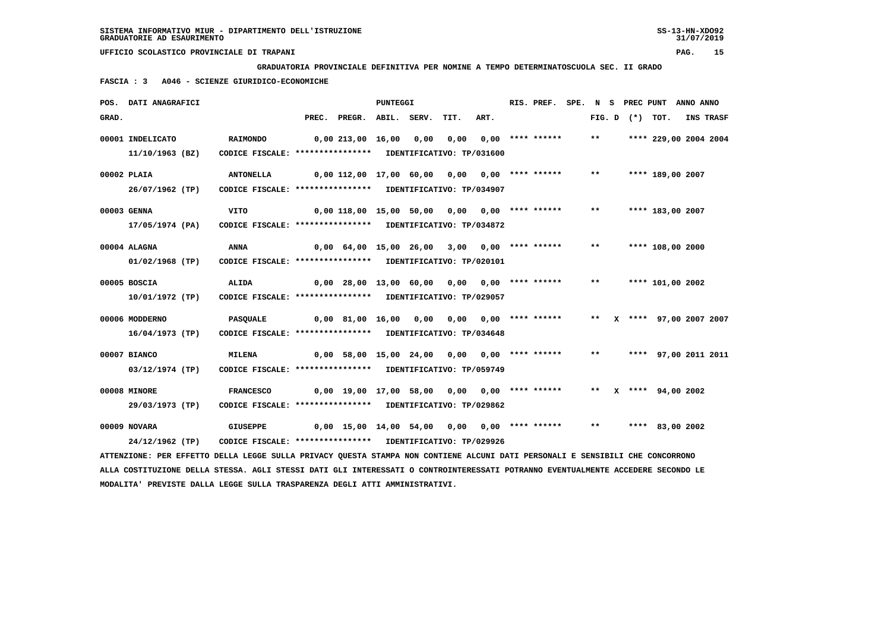**MODALITA' PREVISTE DALLA LEGGE SULLA TRASPARENZA DEGLI ATTI AMMINISTRATIVI.**

 **UFFICIO SCOLASTICO PROVINCIALE DI TRAPANI PAG. 15**

 **GRADUATORIA PROVINCIALE DEFINITIVA PER NOMINE A TEMPO DETERMINATOSCUOLA SEC. II GRADO**

 **FASCIA : 3 A046 - SCIENZE GIURIDICO-ECONOMICHE**

|       | POS. DATI ANAGRAFICI                                                                                                            |                                                            |                       |                                                 | <b>PUNTEGGI</b> |      |                           | RIS. PREF.       |       |  | SPE. N S PREC PUNT ANNO ANNO |           |
|-------|---------------------------------------------------------------------------------------------------------------------------------|------------------------------------------------------------|-----------------------|-------------------------------------------------|-----------------|------|---------------------------|------------------|-------|--|------------------------------|-----------|
| GRAD. |                                                                                                                                 |                                                            |                       | PREC. PREGR. ABIL. SERV.                        |                 | TIT. | ART.                      |                  |       |  | FIG. D $(*)$ TOT.            | INS TRASF |
|       | 00001 INDELICATO                                                                                                                | <b>RAIMONDO</b>                                            |                       | 0,00 213,00 16,00 0,00                          |                 | 0,00 |                           | 0,00 **** ****** | $***$ |  | **** 229,00 2004 2004        |           |
|       | 11/10/1963 (BZ)                                                                                                                 | CODICE FISCALE: **************** IDENTIFICATIVO: TP/031600 |                       |                                                 |                 |      |                           |                  |       |  |                              |           |
|       | 00002 PLAIA                                                                                                                     | <b>ANTONELLA</b>                                           |                       | $0,00$ 112,00 17,00 60,00 0,00 0,00 **** ****** |                 |      |                           |                  | $***$ |  | **** 189,00 2007             |           |
|       | 26/07/1962 (TP)                                                                                                                 | CODICE FISCALE: **************** IDENTIFICATIVO: TP/034907 |                       |                                                 |                 |      |                           |                  |       |  |                              |           |
|       | 00003 GENNA                                                                                                                     | <b>VITO</b>                                                |                       | $0,00$ 118,00 15,00 50,00 0,00 0,00 **** ****** |                 |      |                           |                  | $***$ |  | **** 183,00 2007             |           |
|       | 17/05/1974 (PA)                                                                                                                 | CODICE FISCALE: **************** IDENTIFICATIVO: TP/034872 |                       |                                                 |                 |      |                           |                  |       |  |                              |           |
|       | 00004 ALAGNA                                                                                                                    | <b>ANNA</b>                                                |                       | $0,00$ 64,00 15,00 26,00 3,00 0,00 **** ******  |                 |      |                           |                  | $***$ |  | **** 108,00 2000             |           |
|       | $01/02/1968$ (TP)                                                                                                               | CODICE FISCALE: **************** IDENTIFICATIVO: TP/020101 |                       |                                                 |                 |      |                           |                  |       |  |                              |           |
|       | 00005 BOSCIA                                                                                                                    | ALIDA                                                      |                       | $0,00$ 28,00 13,00 60,00 0,00 0,00 **** ******  |                 |      |                           |                  | $***$ |  | **** 101,00 2002             |           |
|       | 10/01/1972 (TP)                                                                                                                 | CODICE FISCALE: **************** IDENTIFICATIVO: TP/029057 |                       |                                                 |                 |      |                           |                  |       |  |                              |           |
|       | 00006 MODDERNO                                                                                                                  | PASQUALE                                                   | 0,00 81,00 16,00 0,00 |                                                 |                 |      | $0,00$ $0,00$ **** ****** |                  | $***$ |  | X **** 97,00 2007 2007       |           |
|       | 16/04/1973 (TP)                                                                                                                 | CODICE FISCALE: **************** IDENTIFICATIVO: TP/034648 |                       |                                                 |                 |      |                           |                  |       |  |                              |           |
|       | 00007 BIANCO                                                                                                                    | <b>MILENA</b>                                              |                       | $0,00$ 58,00 15,00 24,00 0,00 0,00 **** ******  |                 |      |                           |                  | $***$ |  | **** 97,00 2011 2011         |           |
|       | 03/12/1974 (TP)                                                                                                                 | CODICE FISCALE: **************** IDENTIFICATIVO: TP/059749 |                       |                                                 |                 |      |                           |                  |       |  |                              |           |
|       | 00008 MINORE                                                                                                                    | <b>FRANCESCO</b>                                           |                       | 0,00 19,00 17,00 58,00 0,00 0,00 **** ******    |                 |      |                           |                  |       |  | ** $X$ **** 94,00 2002       |           |
|       | 29/03/1973 (TP)                                                                                                                 | CODICE FISCALE: **************** IDENTIFICATIVO: TP/029862 |                       |                                                 |                 |      |                           |                  |       |  |                              |           |
|       | 00009 NOVARA                                                                                                                    | <b>GIUSEPPE</b>                                            |                       | 0,00 15,00 14,00 54,00 0,00 0,00 **** ******    |                 |      |                           |                  | $***$ |  | **** 83,00 2002              |           |
|       | 24/12/1962 (TP)                                                                                                                 | CODICE FISCALE: **************** IDENTIFICATIVO: TP/029926 |                       |                                                 |                 |      |                           |                  |       |  |                              |           |
|       | ATTENZIONE: PER EFFETTO DELLA LEGGE SULLA PRIVACY QUESTA STAMPA NON CONTIENE ALCUNI DATI PERSONALI E SENSIBILI CHE CONCORRONO   |                                                            |                       |                                                 |                 |      |                           |                  |       |  |                              |           |
|       | ALLA COSTITUZIONE DELLA STESSA. AGLI STESSI DATI GLI INTERESSATI O CONTROINTERESSATI POTRANNO EVENTUALMENTE ACCEDERE SECONDO LE |                                                            |                       |                                                 |                 |      |                           |                  |       |  |                              |           |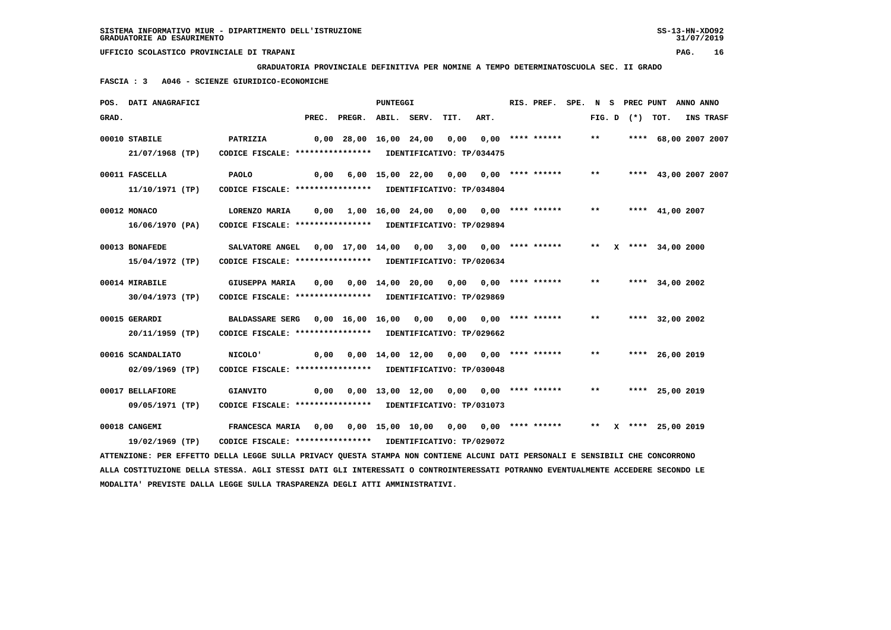**GRADUATORIA PROVINCIALE DEFINITIVA PER NOMINE A TEMPO DETERMINATOSCUOLA SEC. II GRADO**

 **FASCIA : 3 A046 - SCIENZE GIURIDICO-ECONOMICHE**

|       | POS. DATI ANAGRAFICI                                                                                                          |                                                             |                                                    | PUNTEGGI |      |      | RIS. PREF. |       |  | SPE. N S PREC PUNT ANNO ANNO |                  |
|-------|-------------------------------------------------------------------------------------------------------------------------------|-------------------------------------------------------------|----------------------------------------------------|----------|------|------|------------|-------|--|------------------------------|------------------|
| GRAD. |                                                                                                                               |                                                             | PREC. PREGR. ABIL. SERV.                           |          | TIT. | ART. |            |       |  | FIG. $D$ $(*)$ TOT.          | <b>INS TRASF</b> |
|       | 00010 STABILE                                                                                                                 | PATRIZIA                                                    | $0,00$ 28,00 16,00 24,00 0,00 0,00 **** ******     |          |      |      |            | $***$ |  | **** 68,00 2007 2007         |                  |
|       | 21/07/1968 (TP)                                                                                                               | CODICE FISCALE: **************** IDENTIFICATIVO: TP/034475  |                                                    |          |      |      |            |       |  |                              |                  |
|       | 00011 FASCELLA                                                                                                                | <b>PAOLO</b>                                                | $0,00$ 6,00 15,00 22,00 0,00 0,00 **** ******      |          |      |      |            |       |  | ** **** 43,00 2007 2007      |                  |
|       | 11/10/1971 (TP)                                                                                                               | CODICE FISCALE: **************** IDENTIFICATIVO: TP/034804  |                                                    |          |      |      |            |       |  |                              |                  |
|       | 00012 MONACO                                                                                                                  | LORENZO MARIA                                               | $0,00$ 1,00 16,00 24,00 0,00 0,00 **** ******      |          |      |      |            | $***$ |  | **** 41,00 2007              |                  |
|       | 16/06/1970 (PA)                                                                                                               | CODICE FISCALE: **************** IDENTIFICATIVO: TP/029894  |                                                    |          |      |      |            |       |  |                              |                  |
|       | 00013 BONAFEDE                                                                                                                | SALVATORE ANGEL 0,00 17,00 14,00 0,00 3,00 0,00 **** ****** |                                                    |          |      |      |            |       |  | ** X **** 34,00 2000         |                  |
|       | 15/04/1972 (TP)                                                                                                               | CODICE FISCALE: **************** IDENTIFICATIVO: TP/020634  |                                                    |          |      |      |            |       |  |                              |                  |
|       | 00014 MIRABILE                                                                                                                | GIUSEPPA MARIA 0,00 0,00 14,00 20,00 0,00 0,00 **** ******  |                                                    |          |      |      |            | $***$ |  | **** 34,00 2002              |                  |
|       | 30/04/1973 (TP)                                                                                                               | CODICE FISCALE: **************** IDENTIFICATIVO: TP/029869  |                                                    |          |      |      |            |       |  |                              |                  |
|       | 00015 GERARDI                                                                                                                 | BALDASSARE SERG 0,00 16,00 16,00 0,00 0,00 0,00 **** ****** |                                                    |          |      |      |            | $* *$ |  | **** 32,00 2002              |                  |
|       | 20/11/1959 (TP)                                                                                                               | CODICE FISCALE: **************** IDENTIFICATIVO: TP/029662  |                                                    |          |      |      |            |       |  |                              |                  |
|       | 00016 SCANDALIATO                                                                                                             | <b>NICOLO'</b>                                              | $0,00$ $0,00$ $14,00$ $12,00$ $0,00$ $0,00$ $***$  |          |      |      |            | $***$ |  | **** 26,00 2019              |                  |
|       | 02/09/1969 (TP)                                                                                                               | CODICE FISCALE: **************** IDENTIFICATIVO: TP/030048  |                                                    |          |      |      |            |       |  |                              |                  |
|       | 00017 BELLAFIORE                                                                                                              | <b>GIANVITO</b>                                             | 0,00  0,00  13,00  12,00  0,00  0,00  ****  ****** |          |      |      |            | $***$ |  | **** 25,00 2019              |                  |
|       | 09/05/1971 (TP)                                                                                                               | CODICE FISCALE: **************** IDENTIFICATIVO: TP/031073  |                                                    |          |      |      |            |       |  |                              |                  |
|       | 00018 CANGEMI                                                                                                                 | FRANCESCA MARIA 0,00 0,00 15,00 10,00 0,00 0,00 **** ****** |                                                    |          |      |      |            |       |  | ** X **** 25,00 2019         |                  |
|       | 19/02/1969 (TP)                                                                                                               | CODICE FISCALE: **************** IDENTIFICATIVO: TP/029072  |                                                    |          |      |      |            |       |  |                              |                  |
|       | ATTENZIONE: PER EFFETTO DELLA LEGGE SULLA PRIVACY QUESTA STAMPA NON CONTIENE ALCUNI DATI PERSONALI E SENSIBILI CHE CONCORRONO |                                                             |                                                    |          |      |      |            |       |  |                              |                  |

 **ALLA COSTITUZIONE DELLA STESSA. AGLI STESSI DATI GLI INTERESSATI O CONTROINTERESSATI POTRANNO EVENTUALMENTE ACCEDERE SECONDO LE MODALITA' PREVISTE DALLA LEGGE SULLA TRASPARENZA DEGLI ATTI AMMINISTRATIVI.**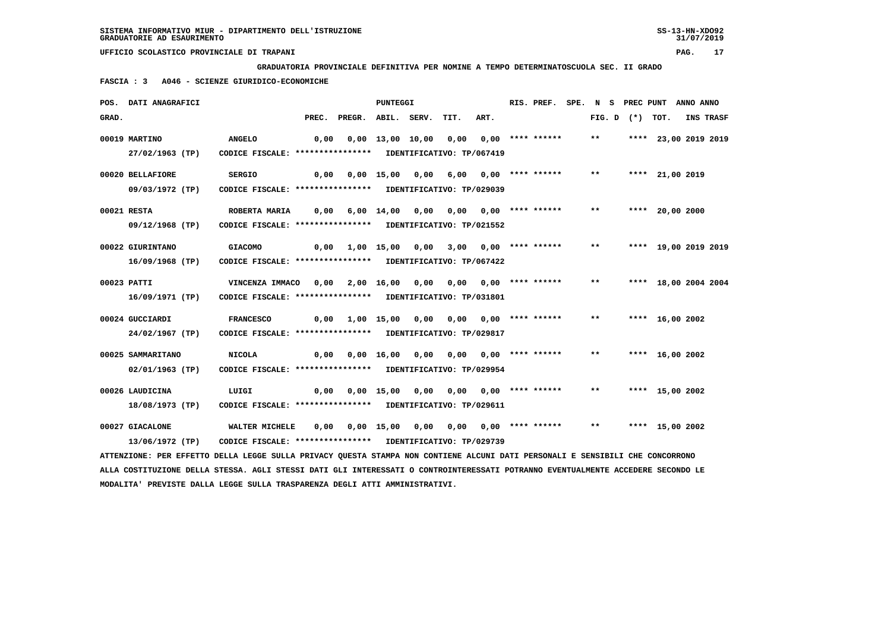**GRADUATORIA PROVINCIALE DEFINITIVA PER NOMINE A TEMPO DETERMINATOSCUOLA SEC. II GRADO**

 **FASCIA : 3 A046 - SCIENZE GIURIDICO-ECONOMICHE**

|       | POS. DATI ANAGRAFICI                                                                                                          |                                                            |      |                                              | <b>PUNTEGGI</b> |      |                                          |                           | RIS. PREF. SPE. N S PREC PUNT ANNO ANNO |       |                   |                      |                  |
|-------|-------------------------------------------------------------------------------------------------------------------------------|------------------------------------------------------------|------|----------------------------------------------|-----------------|------|------------------------------------------|---------------------------|-----------------------------------------|-------|-------------------|----------------------|------------------|
| GRAD. |                                                                                                                               |                                                            |      | PREC. PREGR. ABIL. SERV.                     |                 |      | TIT.                                     | ART.                      |                                         |       | FIG. D $(*)$ TOT. |                      | <b>INS TRASF</b> |
|       | 00019 MARTINO                                                                                                                 | <b>ANGELO</b>                                              | 0,00 |                                              |                 |      | $0,00$ 13,00 10,00 0,00 0,00 **** ****** |                           |                                         | $***$ |                   | **** 23,00 2019 2019 |                  |
|       | 27/02/1963 (TP)                                                                                                               | CODICE FISCALE: **************** IDENTIFICATIVO: TP/067419 |      |                                              |                 |      |                                          |                           |                                         |       |                   |                      |                  |
|       | 00020 BELLAFIORE                                                                                                              | <b>SERGIO</b>                                              | 0,00 |                                              | 0,00 15,00 0,00 |      |                                          | 6,00 0,00 **** ******     |                                         | $***$ |                   | **** 21,00 2019      |                  |
|       | 09/03/1972 (TP)                                                                                                               | CODICE FISCALE: **************** IDENTIFICATIVO: TP/029039 |      |                                              |                 |      |                                          |                           |                                         |       |                   |                      |                  |
|       | 00021 RESTA                                                                                                                   | ROBERTA MARIA                                              |      | 0,00 6,00 14,00 0,00 0,00 0,00 **** ******   |                 |      |                                          |                           |                                         | $***$ |                   | **** 20,00 2000      |                  |
|       | 09/12/1968 (TP)                                                                                                               | CODICE FISCALE: **************** IDENTIFICATIVO: TP/021552 |      |                                              |                 |      |                                          |                           |                                         |       |                   |                      |                  |
|       | 00022 GIURINTANO                                                                                                              | <b>GIACOMO</b>                                             |      | $0,00$ 1,00 15,00 0,00 3,00 0,00 **** ****** |                 |      |                                          |                           |                                         | $***$ |                   | **** 19,00 2019 2019 |                  |
|       | 16/09/1968 (TP)                                                                                                               | CODICE FISCALE: **************** IDENTIFICATIVO: TP/067422 |      |                                              |                 |      |                                          |                           |                                         |       |                   |                      |                  |
|       | 00023 PATTI                                                                                                                   | VINCENZA IMMACO 0,00                                       |      |                                              | 2,00 16,00 0,00 |      | 0,00 0,00 **** ******                    |                           |                                         | $***$ |                   | **** 18,00 2004 2004 |                  |
|       | 16/09/1971 (TP)                                                                                                               | CODICE FISCALE: **************** IDENTIFICATIVO: TP/031801 |      |                                              |                 |      |                                          |                           |                                         |       |                   |                      |                  |
|       | 00024 GUCCIARDI                                                                                                               | <b>FRANCESCO</b>                                           |      | $0,00$ $1,00$ $15,00$ $0,00$                 |                 |      |                                          |                           |                                         | $* *$ |                   | **** $16,00$ 2002    |                  |
|       | 24/02/1967 (TP)                                                                                                               | CODICE FISCALE: **************** IDENTIFICATIVO: TP/029817 |      |                                              |                 |      |                                          |                           |                                         |       |                   |                      |                  |
|       | 00025 SAMMARITANO                                                                                                             | <b>NICOLA</b>                                              | 0,00 |                                              |                 |      | 0,00 16,00 0,00 0,00 0,00 **** ******    |                           |                                         | $***$ |                   | **** 16,00 2002      |                  |
|       | 02/01/1963 (TP)                                                                                                               | CODICE FISCALE: **************** IDENTIFICATIVO: TP/029954 |      |                                              |                 |      |                                          |                           |                                         |       |                   |                      |                  |
|       | 00026 LAUDICINA                                                                                                               | LUIGI                                                      | 0,00 | 0,00 15,00                                   |                 | 0,00 |                                          | $0,00$ $0,00$ **** ****** |                                         | $***$ |                   | **** 15,00 2002      |                  |
|       | 18/08/1973 (TP)                                                                                                               | CODICE FISCALE: **************** IDENTIFICATIVO: TP/029611 |      |                                              |                 |      |                                          |                           |                                         |       |                   |                      |                  |
|       | 00027 GIACALONE                                                                                                               | WALTER MICHELE                                             | 0,00 |                                              |                 |      | 0,00 15,00 0,00 0,00 0,00 **** ******    |                           |                                         | $**$  |                   | **** 15,00 2002      |                  |
|       | 13/06/1972 (TP)                                                                                                               | CODICE FISCALE: **************** IDENTIFICATIVO: TP/029739 |      |                                              |                 |      |                                          |                           |                                         |       |                   |                      |                  |
|       | ATTENZIONE: PER EFFETTO DELLA LEGGE SULLA PRIVACY QUESTA STAMPA NON CONTIENE ALCUNI DATI PERSONALI E SENSIBILI CHE CONCORRONO |                                                            |      |                                              |                 |      |                                          |                           |                                         |       |                   |                      |                  |

 **ALLA COSTITUZIONE DELLA STESSA. AGLI STESSI DATI GLI INTERESSATI O CONTROINTERESSATI POTRANNO EVENTUALMENTE ACCEDERE SECONDO LE MODALITA' PREVISTE DALLA LEGGE SULLA TRASPARENZA DEGLI ATTI AMMINISTRATIVI.**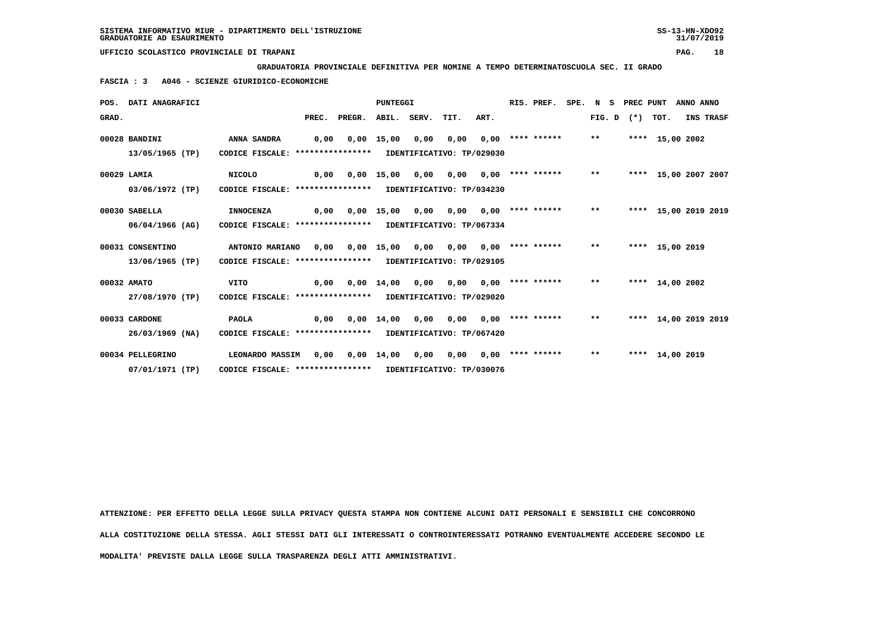**GRADUATORIA PROVINCIALE DEFINITIVA PER NOMINE A TEMPO DETERMINATOSCUOLA SEC. II GRADO**

 **FASCIA : 3 A046 - SCIENZE GIURIDICO-ECONOMICHE**

|       | POS. DATI ANAGRAFICI |                                                            |       |        | <b>PUNTEGGI</b>    |             |                           |      | RIS. PREF.         | SPE. N S |              | PREC PUNT      |                 | ANNO ANNO            |  |
|-------|----------------------|------------------------------------------------------------|-------|--------|--------------------|-------------|---------------------------|------|--------------------|----------|--------------|----------------|-----------------|----------------------|--|
| GRAD. |                      |                                                            | PREC. | PREGR. |                    | ABIL. SERV. | TIT.                      | ART. |                    |          |              | $FIG. D$ $(*)$ | TOT.            | INS TRASF            |  |
|       | 00028 BANDINI        | ANNA SANDRA                                                | 0,00  |        | $0,00$ 15,00       | 0,00        | 0,00                      |      | $0,00$ **** ****** |          | $***$        |                | **** 15,00 2002 |                      |  |
|       | 13/05/1965 (TP)      | CODICE FISCALE: ****************                           |       |        |                    |             | IDENTIFICATIVO: TP/029030 |      |                    |          |              |                |                 |                      |  |
|       | 00029 LAMIA          | <b>NICOLO</b>                                              | 0,00  |        | $0,00$ 15,00       | 0,00        | 0,00                      |      | $0,00$ **** ****** |          | $\star\star$ | ****           |                 | 15,00 2007 2007      |  |
|       | 03/06/1972 (TP)      | CODICE FISCALE: *****************                          |       |        |                    |             | IDENTIFICATIVO: TP/034230 |      |                    |          |              |                |                 |                      |  |
|       | 00030 SABELLA        | <b>INNOCENZA</b>                                           | 0,00  |        | $0,00$ 15,00       | 0,00        | 0,00                      |      | $0,00$ **** ****** |          | $***$        |                |                 | **** 15,00 2019 2019 |  |
|       | 06/04/1966 (AG)      | CODICE FISCALE: ****************                           |       |        |                    |             | IDENTIFICATIVO: TP/067334 |      |                    |          |              |                |                 |                      |  |
|       | 00031 CONSENTINO     | ANTONIO MARIANO                                            | 0.00  |        | $0,00$ 15,00       | 0,00        | 0.00                      |      | $0.00$ **** ****** |          | $***$        |                | **** 15,00 2019 |                      |  |
|       | 13/06/1965 (TP)      | CODICE FISCALE: **************** IDENTIFICATIVO: TP/029105 |       |        |                    |             |                           |      |                    |          |              |                |                 |                      |  |
|       | 00032 AMATO          | <b>VITO</b>                                                | 0.00  |        | $0.00 \quad 14.00$ | 0,00        | 0,00                      |      | $0.00$ **** ****** |          | $* *$        |                | **** 14,00 2002 |                      |  |
|       | 27/08/1970 (TP)      | CODICE FISCALE: **************** IDENTIFICATIVO: TP/029020 |       |        |                    |             |                           |      |                    |          |              |                |                 |                      |  |
|       | 00033 CARDONE        | <b>PAOLA</b>                                               | 0,00  |        | $0.00$ 14.00       | 0.00        | 0.00                      |      | $0.00$ **** ****** |          | $**$         |                |                 | **** 14,00 2019 2019 |  |
|       | $26/03/1969$ (NA)    | CODICE FISCALE: **************** IDENTIFICATIVO: TP/067420 |       |        |                    |             |                           |      |                    |          |              |                |                 |                      |  |
|       | 00034 PELLEGRINO     | LEONARDO MASSIM                                            | 0.00  |        | $0,00 \quad 14,00$ | 0,00        | 0.00                      |      | $0,00$ **** ****** |          | $* *$        |                | **** 14,00 2019 |                      |  |
|       | 07/01/1971 (TP)      | CODICE FISCALE: **************** IDENTIFICATIVO: TP/030076 |       |        |                    |             |                           |      |                    |          |              |                |                 |                      |  |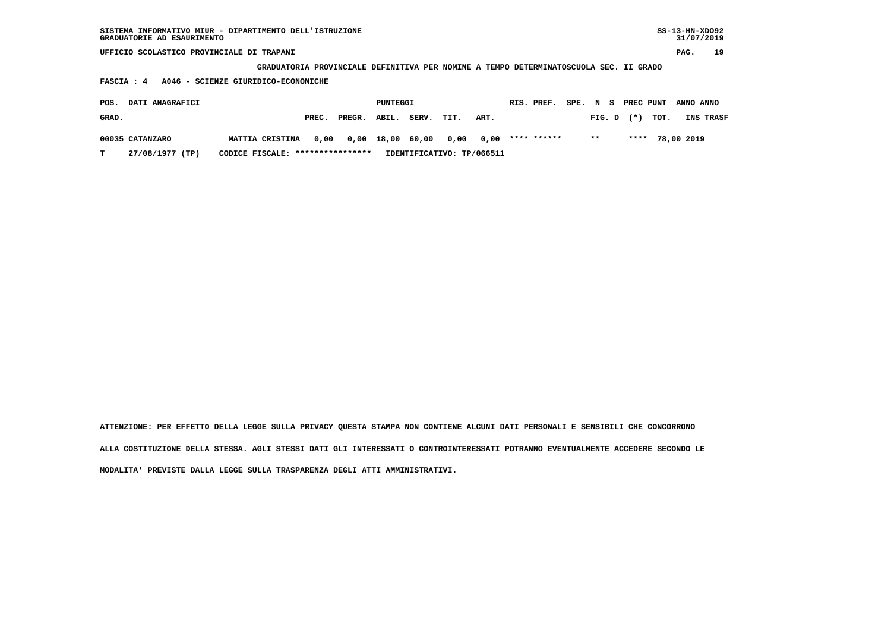| $SS-13-HN-XDO92$<br>SISTEMA INFORMATIVO MIUR - DIPARTIMENTO DELL'ISTRUZIONE<br>GRADUATORIE AD ESAURIMENTO<br>UFFICIO SCOLASTICO PROVINCIALE DI TRAPANI |                                                                                       |       |        |          |       |                           |      |  |             |          |        |  |           |      | 31/07/2019 |           |
|--------------------------------------------------------------------------------------------------------------------------------------------------------|---------------------------------------------------------------------------------------|-------|--------|----------|-------|---------------------------|------|--|-------------|----------|--------|--|-----------|------|------------|-----------|
|                                                                                                                                                        |                                                                                       |       |        |          |       |                           |      |  |             |          |        |  |           |      | PAG.       | 19        |
|                                                                                                                                                        | GRADUATORIA PROVINCIALE DEFINITIVA PER NOMINE A TEMPO DETERMINATOSCUOLA SEC. II GRADO |       |        |          |       |                           |      |  |             |          |        |  |           |      |            |           |
| A046 - SCIENZE GIURIDICO-ECONOMICHE<br>FASCIA : 4                                                                                                      |                                                                                       |       |        |          |       |                           |      |  |             |          |        |  |           |      |            |           |
| DATI ANAGRAFICI<br>POS.                                                                                                                                |                                                                                       |       |        | PUNTEGGI |       |                           |      |  | RIS. PREF.  | SPE. N S |        |  | PREC PUNT |      | ANNO ANNO  |           |
| GRAD.                                                                                                                                                  |                                                                                       | PREC. | PREGR. | ABIL.    | SERV. | TIT.                      | ART. |  |             |          | FIG. D |  | $(* )$    | TOT. |            | INS TRASF |
| 00035 CATANZARO                                                                                                                                        | MATTIA CRISTINA                                                                       | 0.00  | 0,00   | 18,00    | 60.00 | 0,00                      | 0.00 |  | **** ****** |          | $* *$  |  | ****      |      | 78,00 2019 |           |
| 27/08/1977 (TP)<br>т                                                                                                                                   | CODICE FISCALE: *****************                                                     |       |        |          |       | IDENTIFICATIVO: TP/066511 |      |  |             |          |        |  |           |      |            |           |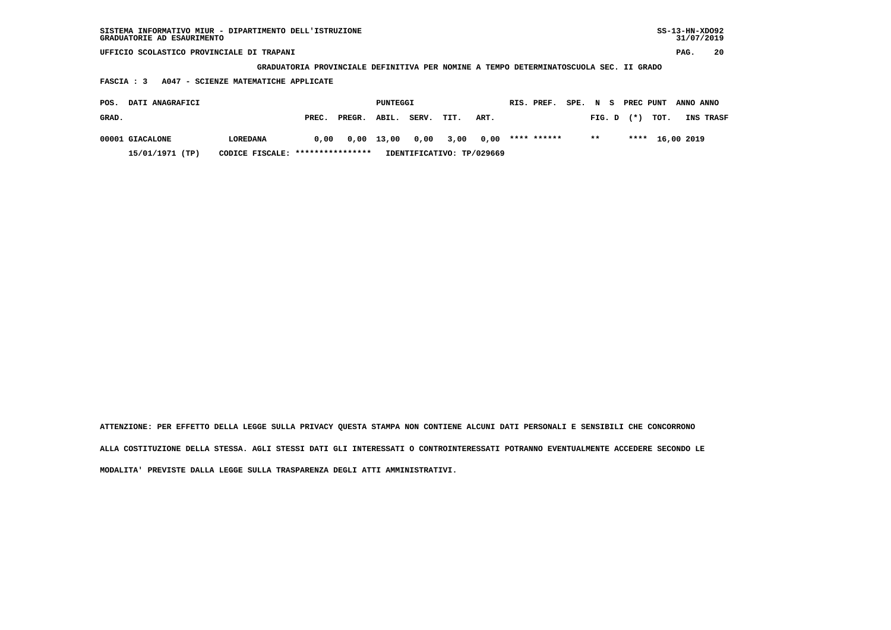| SISTEMA INFORMATIVO MIUR - DIPARTIMENTO DELL'ISTRUZIONE<br>GRADUATORIE AD ESAURIMENTO |          |       |        |          |       |      |      |  |             |        |        |           |      | $SS-13-HN-XDO92$<br>31/07/2019 |           |
|---------------------------------------------------------------------------------------|----------|-------|--------|----------|-------|------|------|--|-------------|--------|--------|-----------|------|--------------------------------|-----------|
| UFFICIO SCOLASTICO PROVINCIALE DI TRAPANI                                             |          |       |        |          |       |      |      |  |             |        |        |           |      | PAG.                           | 20        |
| GRADUATORIA PROVINCIALE DEFINITIVA PER NOMINE A TEMPO DETERMINATOSCUOLA SEC. II GRADO |          |       |        |          |       |      |      |  |             |        |        |           |      |                                |           |
| A047 - SCIENZE MATEMATICHE APPLICATE<br><b>FASCIA: 3</b>                              |          |       |        |          |       |      |      |  |             |        |        |           |      |                                |           |
| DATI ANAGRAFICI<br>POS.                                                               |          |       |        | PUNTEGGI |       |      |      |  | RIS. PREF.  | SPE. N | - S    | PREC PUNT |      | ANNO ANNO                      |           |
| GRAD.                                                                                 |          | PREC. | PREGR. | ABIL.    | SERV. | TIT. | ART. |  |             |        | FIG. D | $(*)$     | TOT. |                                | INS TRASF |
| 00001 GIACALONE                                                                       | LOREDANA | 0.00  | 0,00   | 13,00    | 0,00  | 3,00 | 0,00 |  | **** ****** |        | $* *$  | ****      |      | 16,00 2019                     |           |

 **15/01/1971 (TP) CODICE FISCALE: \*\*\*\*\*\*\*\*\*\*\*\*\*\*\*\* IDENTIFICATIVO: TP/029669**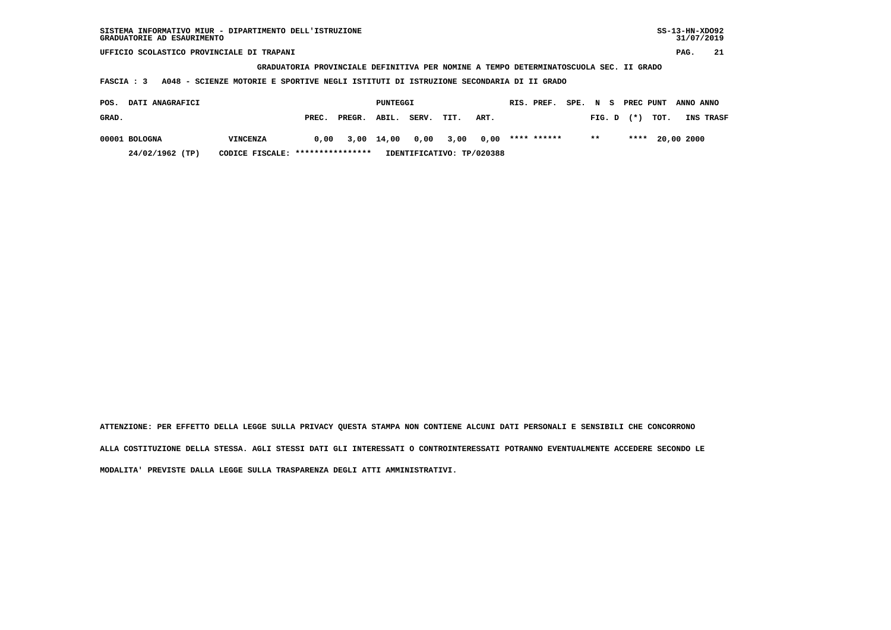| SISTEMA INFORMATIVO MIUR - DIPARTIMENTO DELL'ISTRUZIONE | SS-13-HN-XD092 |
|---------------------------------------------------------|----------------|
| GRADUATORIE AD ESAURIMENTO                              | 31/07/2019     |

 **GRADUATORIA PROVINCIALE DEFINITIVA PER NOMINE A TEMPO DETERMINATOSCUOLA SEC. II GRADO**

 **FASCIA : 3 A048 - SCIENZE MOTORIE E SPORTIVE NEGLI ISTITUTI DI ISTRUZIONE SECONDARIA DI II GRADO**

| POS.  | <b>DATI ANAGRAFICI</b> |                                   |       |              | PUNTEGGI |       |           |                           | RIS. PREF.  |       |                | SPE. N S PREC PUNT ANNO ANNO |                  |
|-------|------------------------|-----------------------------------|-------|--------------|----------|-------|-----------|---------------------------|-------------|-------|----------------|------------------------------|------------------|
| GRAD. |                        |                                   | PREC. | PREGR. ABIL. |          | SERV. | TIT.      | ART.                      |             |       | $FIG. D$ $(*)$ | TOT.                         | <b>INS TRASF</b> |
|       | 00001 BOLOGNA          | VINCENZA                          | 0.00  | 3,00 14,00   |          | 0.00  | 3,00 0,00 |                           | **** ****** | $***$ |                | **** 20,00 2000              |                  |
|       | 24/02/1962 (TP)        | CODICE FISCALE: ***************** |       |              |          |       |           | IDENTIFICATIVO: TP/020388 |             |       |                |                              |                  |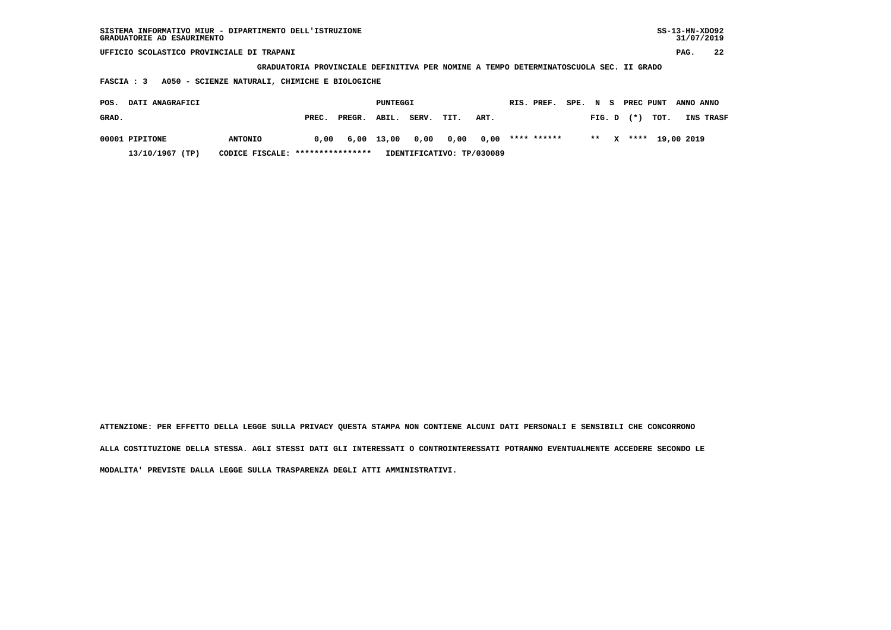| SISTEMA INFORMATIVO MIUR - DIPARTIMENTO DELL'ISTRUZIONE<br>GRADUATORIE AD ESAURIMENTO |                                                                                       |        |          |       |      |                           |            |             |      |        |   |           |      |            | $SS-13-HN-XDO92$<br>31/07/2019 |
|---------------------------------------------------------------------------------------|---------------------------------------------------------------------------------------|--------|----------|-------|------|---------------------------|------------|-------------|------|--------|---|-----------|------|------------|--------------------------------|
| UFFICIO SCOLASTICO PROVINCIALE DI TRAPANI                                             |                                                                                       |        |          |       |      |                           |            |             |      |        |   |           |      | PAG.       | 22                             |
|                                                                                       | GRADUATORIA PROVINCIALE DEFINITIVA PER NOMINE A TEMPO DETERMINATOSCUOLA SEC. II GRADO |        |          |       |      |                           |            |             |      |        |   |           |      |            |                                |
| A050 - SCIENZE NATURALI, CHIMICHE E BIOLOGICHE<br><b>FASCIA : 3</b>                   |                                                                                       |        |          |       |      |                           |            |             |      |        |   |           |      |            |                                |
| DATI ANAGRAFICI<br>POS.                                                               |                                                                                       |        | PUNTEGGI |       |      |                           | RIS. PREF. |             | SPE. | N S    |   | PREC PUNT |      | ANNO ANNO  |                                |
| GRAD.                                                                                 | PREC.                                                                                 | PREGR. | ABIL.    | SERV. | TIT. | ART.                      |            |             |      | FIG. D |   | $(* )$    | TOT. |            | INS TRASF                      |
| 00001 PIPITONE<br><b>ANTONIO</b>                                                      | 0.00                                                                                  | 6,00   | 13,00    | 0,00  | 0,00 | 0,00                      |            | **** ****** |      | $***$  | x | ****      |      | 19,00 2019 |                                |
| 13/10/1967 (TP)<br>CODICE FISCALE:                                                    | ****************                                                                      |        |          |       |      | IDENTIFICATIVO: TP/030089 |            |             |      |        |   |           |      |            |                                |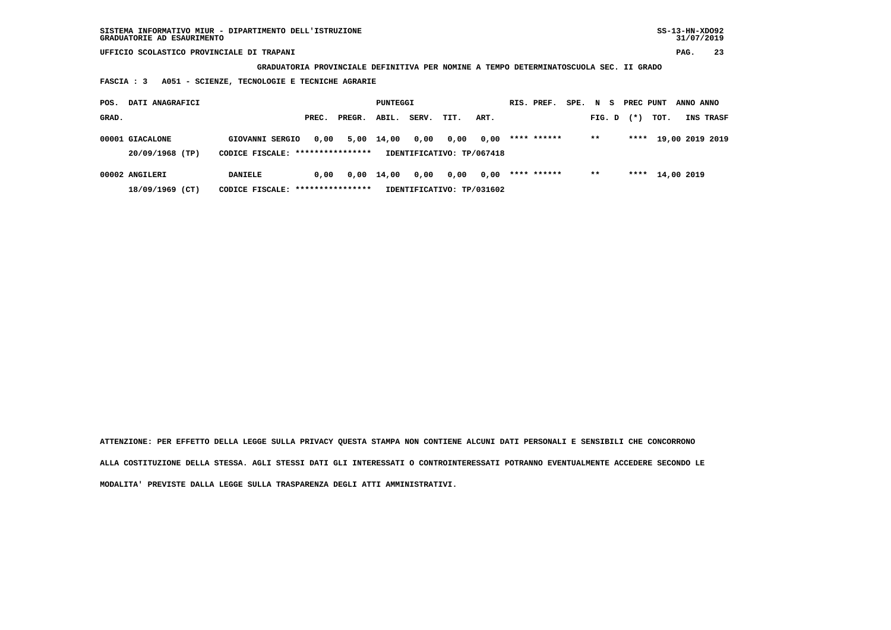**GRADUATORIA PROVINCIALE DEFINITIVA PER NOMINE A TEMPO DETERMINATOSCUOLA SEC. II GRADO**

 **FASCIA : 3 A051 - SCIENZE, TECNOLOGIE E TECNICHE AGRARIE**

| POS.  | DATI ANAGRAFICI                    |                                                     |       |        | PUNTEGGI     |       |                                   |      | RIS. PREF.  | SPE. N S |        | PREC PUNT |                 | ANNO ANNO |                  |
|-------|------------------------------------|-----------------------------------------------------|-------|--------|--------------|-------|-----------------------------------|------|-------------|----------|--------|-----------|-----------------|-----------|------------------|
| GRAD. |                                    |                                                     | PREC. | PREGR. | ABIL.        | SERV. | TIT.                              | ART. |             |          | FIG. D | $(*)$     | тот.            |           | <b>INS TRASF</b> |
|       | 00001 GIACALONE<br>20/09/1968 (TP) | GIOVANNI SERGIO<br>CODICE FISCALE: **************** | 0,00  |        | 5,00 14,00   | 0,00  | 0,00<br>IDENTIFICATIVO: TP/067418 | 0,00 | **** ****** |          | $***$  | ****      |                 |           | 19,00 2019 2019  |
|       |                                    |                                                     |       |        |              |       |                                   |      |             |          |        |           |                 |           |                  |
|       | 00002 ANGILERI                     | <b>DANIELE</b>                                      | 0.00  |        | $0.00$ 14.00 | 0,00  | 0,00                              | 0,00 | **** ****** |          | $* *$  |           | **** 14,00 2019 |           |                  |
|       | 18/09/1969 (CT)                    | CODICE FISCALE: *****************                   |       |        |              |       | IDENTIFICATIVO: TP/031602         |      |             |          |        |           |                 |           |                  |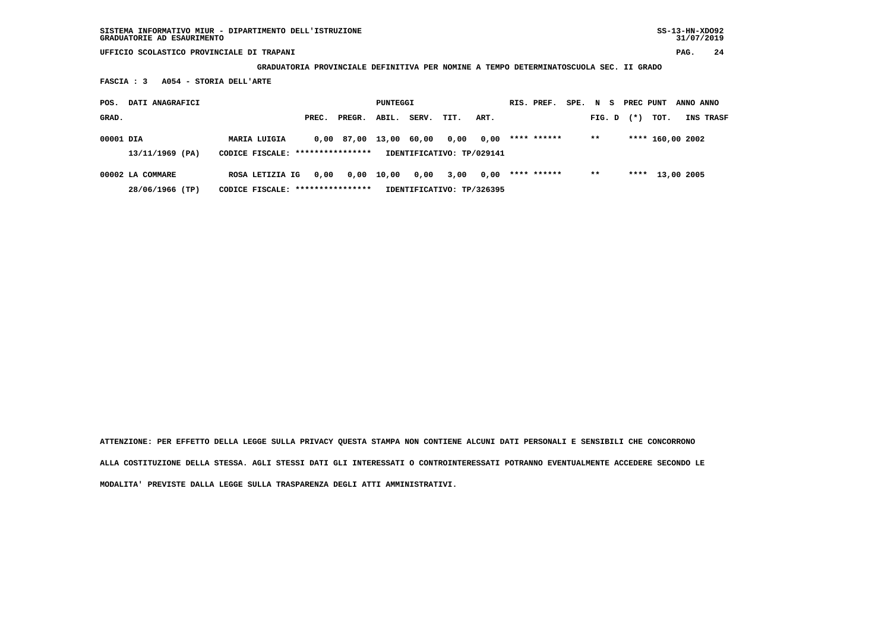**GRADUATORIA PROVINCIALE DEFINITIVA PER NOMINE A TEMPO DETERMINATOSCUOLA SEC. II GRADO**

 **FASCIA : 3 A054 - STORIA DELL'ARTE**

| POS.      | DATI ANAGRAFICI  |                                  |       |                        | PUNTEGGI   |       |                           |      | RIS. PREF.  | SPE. N S | PREC PUNT |                  | ANNO ANNO |           |
|-----------|------------------|----------------------------------|-------|------------------------|------------|-------|---------------------------|------|-------------|----------|-----------|------------------|-----------|-----------|
| GRAD.     |                  |                                  | PREC. | PREGR.                 | ABIL.      | SERV. | TIT.                      | ART. |             | FIG. D   | $(* )$    | тот.             |           | INS TRASF |
| 00001 DIA |                  | <b>MARIA LUIGIA</b>              |       | 0,00 87,00 13,00 60,00 |            |       | 0,00                      | 0.00 | **** ****** | $* *$    |           | **** 160,00 2002 |           |           |
|           | 13/11/1969 (PA)  | CODICE FISCALE: **************** |       |                        |            |       | IDENTIFICATIVO: TP/029141 |      |             |          |           |                  |           |           |
|           | 00002 LA COMMARE | ROSA LETIZIA IG                  | 0.00  |                        | 0,00 10,00 | 0,00  | 3,00                      | 0,00 | **** ****** | $* *$    |           | **** 13,00 2005  |           |           |
|           | 28/06/1966 (TP)  | CODICE FISCALE: **************** |       |                        |            |       | IDENTIFICATIVO: TP/326395 |      |             |          |           |                  |           |           |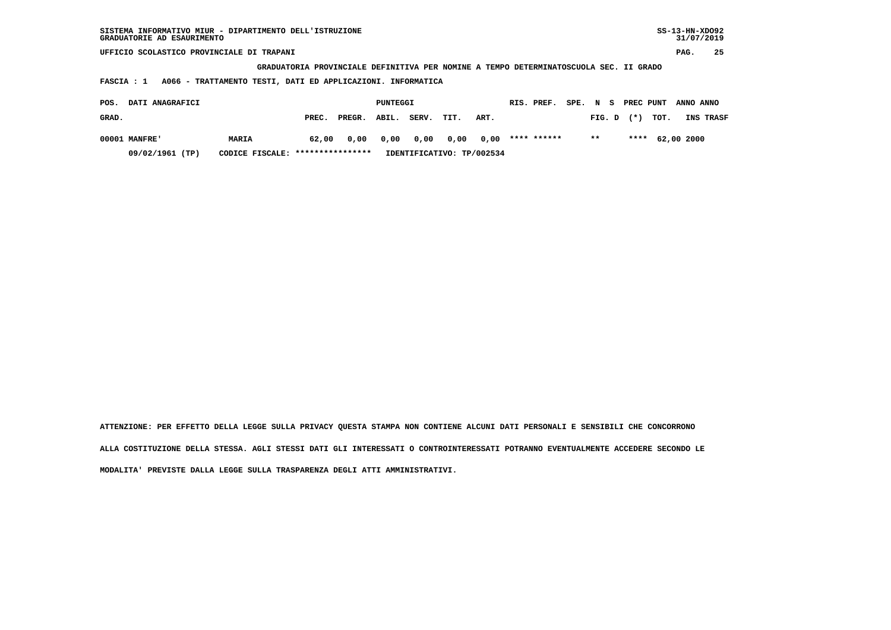| SISTEMA INFORMATIVO MIUR - DIPARTIMENTO DELL'ISTRUZIONE<br>GRADUATORIE AD ESAURIMENTO |                                                                                       |                      |              |             |                         | $SS-13-HN-XDO92$<br>31/07/2019 |
|---------------------------------------------------------------------------------------|---------------------------------------------------------------------------------------|----------------------|--------------|-------------|-------------------------|--------------------------------|
| UFFICIO SCOLASTICO PROVINCIALE DI TRAPANI                                             |                                                                                       |                      |              |             |                         | 25<br>PAG.                     |
|                                                                                       | GRADUATORIA PROVINCIALE DEFINITIVA PER NOMINE A TEMPO DETERMINATOSCUOLA SEC. II GRADO |                      |              |             |                         |                                |
| FASCIA : 1                                                                            | A066 - TRATTAMENTO TESTI, DATI ED APPLICAZIONI. INFORMATICA                           |                      |              |             |                         |                                |
| DATI ANAGRAFICI<br>POS.                                                               |                                                                                       | PUNTEGGI             |              | RIS. PREF.  | SPE. N S<br>PREC PUNT   | ANNO ANNO                      |
| GRAD.                                                                                 | PREC.<br>PREGR.                                                                       | SERV.<br>ABIL.       | TIT.<br>ART. |             | TOT.<br>$(*)$<br>FIG. D | INS TRASF                      |
| 00001 MANFRE'<br><b>MARIA</b>                                                         | 62,00                                                                                 | 0,00<br>0,00<br>0,00 | 0,00<br>0,00 | **** ****** | $***$<br>****           | 62,00 2000                     |

 **09/02/1961 (TP) CODICE FISCALE: \*\*\*\*\*\*\*\*\*\*\*\*\*\*\*\* IDENTIFICATIVO: TP/002534**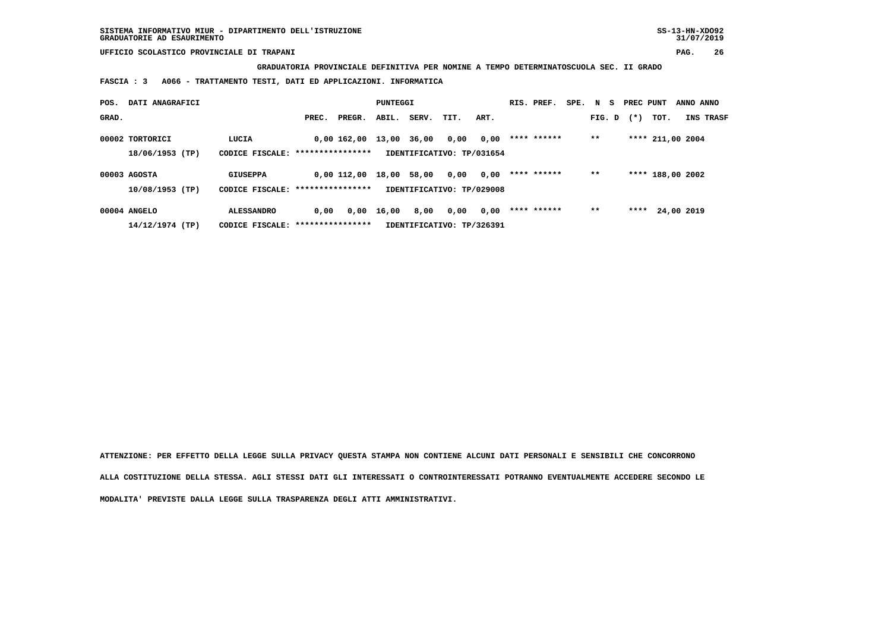**SISTEMA INFORMATIVO MIUR - DIPARTIMENTO DELL'ISTRUZIONE SS-13-HN-XDO92 GRADUATORIE AD ESAURIMENTO 31/07/2019**

 **UFFICIO SCOLASTICO PROVINCIALE DI TRAPANI PAG. 26**

 **GRADUATORIA PROVINCIALE DEFINITIVA PER NOMINE A TEMPO DETERMINATOSCUOLA SEC. II GRADO**

 **FASCIA : 3 A066 - TRATTAMENTO TESTI, DATI ED APPLICAZIONI. INFORMATICA**

| DATI ANAGRAFICI<br>POS.            |                                                       |       |                   | PUNTEGGI |       |                                   |      | RIS. PREF.  | SPE. N S |        | PREC PUNT |                  | ANNO ANNO  |
|------------------------------------|-------------------------------------------------------|-------|-------------------|----------|-------|-----------------------------------|------|-------------|----------|--------|-----------|------------------|------------|
| GRAD.                              |                                                       | PREC. | PREGR.            | ABIL.    | SERV. | TIT.                              | ART. |             |          | FIG. D | $(*)$     | TOT.             | INS TRASF  |
| 00002 TORTORICI<br>18/06/1953 (TP) | LUCIA<br>CODICE FISCALE: ****************             |       | 0,00 162,00 13,00 |          | 36,00 | 0,00<br>IDENTIFICATIVO: TP/031654 | 0,00 | **** ****** |          | $***$  |           | **** 211,00 2004 |            |
| 00003 AGOSTA<br>$10/08/1953$ (TP)  | <b>GIUSEPPA</b><br>CODICE FISCALE: ****************   |       | $0.00$ $112.00$   | 18,00    | 58,00 | 0,00<br>IDENTIFICATIVO: TP/029008 | 0,00 | **** ****** |          | $* *$  |           | **** 188,00 2002 |            |
| 00004 ANGELO<br>14/12/1974 (TP)    | <b>ALESSANDRO</b><br>CODICE FISCALE: **************** | 0,00  | 0,00              | 16,00    | 8,00  | 0,00<br>IDENTIFICATIVO: TP/326391 | 0,00 | **** ****** |          | $* *$  | ****      |                  | 24,00 2019 |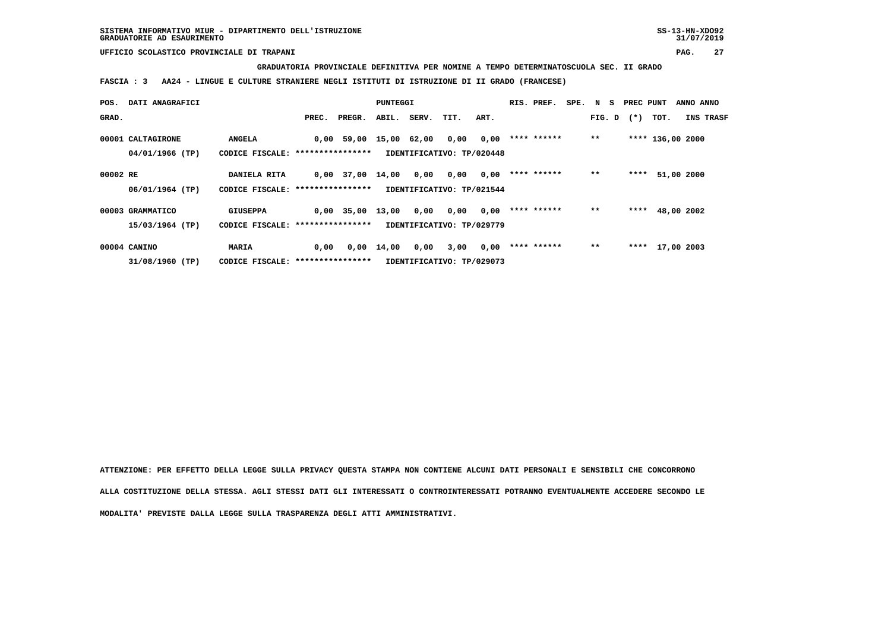## **GRADUATORIA PROVINCIALE DEFINITIVA PER NOMINE A TEMPO DETERMINATOSCUOLA SEC. II GRADO**

 **FASCIA : 3 AA24 - LINGUE E CULTURE STRANIERE NEGLI ISTITUTI DI ISTRUZIONE DI II GRADO (FRANCESE)**

| POS.     | DATI ANAGRAFICI   |                                   |       |                        | PUNTEGGI           |             |                           |      | RIS. PREF.  | SPE. N S |        | PREC PUNT |      | ANNO ANNO        |
|----------|-------------------|-----------------------------------|-------|------------------------|--------------------|-------------|---------------------------|------|-------------|----------|--------|-----------|------|------------------|
| GRAD.    |                   |                                   | PREC. | PREGR.                 |                    | ABIL. SERV. | TIT.                      | ART. |             |          | FIG. D | $(*)$     | TOT. | INS TRASF        |
|          |                   |                                   |       |                        |                    |             |                           |      |             |          |        |           |      |                  |
|          | 00001 CALTAGIRONE | <b>ANGELA</b>                     |       | 0,00 59,00 15,00 62,00 |                    |             | 0,00                      | 0,00 | **** ****** |          | $**$   |           |      | **** 136,00 2000 |
|          | 04/01/1966 (TP)   | CODICE FISCALE: ***************** |       |                        |                    |             | IDENTIFICATIVO: TP/020448 |      |             |          |        |           |      |                  |
|          |                   |                                   |       |                        |                    |             |                           |      |             |          |        |           |      |                  |
| 00002 RE |                   | DANIELA RITA                      |       | $0,00$ 37,00 14,00     |                    | 0,00        | 0,00                      | 0,00 | **** ****** |          | $**$   | ****      |      | 51,00 2000       |
|          | 06/01/1964 (TP)   | CODICE FISCALE: ***************** |       |                        |                    |             | IDENTIFICATIVO: TP/021544 |      |             |          |        |           |      |                  |
|          |                   |                                   |       |                        |                    |             |                           |      |             |          |        |           |      |                  |
|          | 00003 GRAMMATICO  | <b>GIUSEPPA</b>                   |       | $0,00$ 35,00 13,00     |                    | 0,00        | 0,00                      | 0,00 | **** ****** |          | $**$   | ****      |      | 48,00 2002       |
|          | 15/03/1964 (TP)   | CODICE FISCALE: ***************** |       |                        |                    |             | IDENTIFICATIVO: TP/029779 |      |             |          |        |           |      |                  |
|          |                   |                                   |       |                        |                    |             |                           |      |             |          |        |           |      |                  |
|          | 00004 CANINO      | MARIA                             | 0,00  |                        | $0,00 \quad 14,00$ | 0,00        | 3,00                      | 0,00 | **** ****** |          | $**$   |           |      | **** 17,00 2003  |
|          | 31/08/1960 (TP)   | CODICE FISCALE: ***************** |       |                        |                    |             | IDENTIFICATIVO: TP/029073 |      |             |          |        |           |      |                  |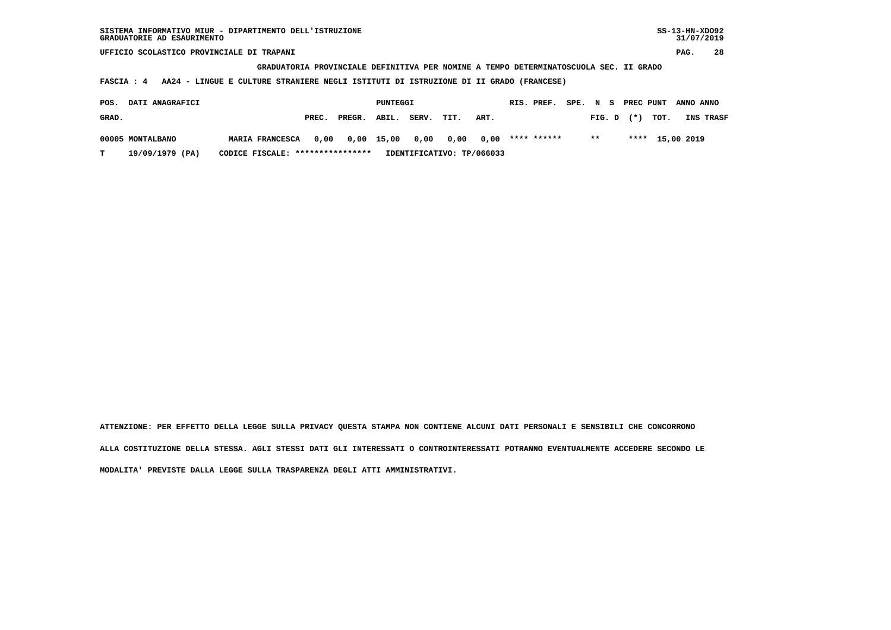**GRADUATORIA PROVINCIALE DEFINITIVA PER NOMINE A TEMPO DETERMINATOSCUOLA SEC. II GRADO**

 **FASCIA : 4 AA24 - LINGUE E CULTURE STRANIERE NEGLI ISTITUTI DI ISTRUZIONE DI II GRADO (FRANCESE)**

| POS.  | <b>DATI ANAGRAFICI</b> |                                  |       |                                                  | PUNTEGGI |       |      |                           | RIS. PREF. |               |  |                | SPE. N S PREC PUNT ANNO ANNO |                  |
|-------|------------------------|----------------------------------|-------|--------------------------------------------------|----------|-------|------|---------------------------|------------|---------------|--|----------------|------------------------------|------------------|
| GRAD. |                        |                                  | PREC. | PREGR. ABIL.                                     |          | SERV. | TIT. | ART.                      |            |               |  | $FIG. D$ $(*)$ | тот.                         | <b>INS TRASF</b> |
|       | 00005 MONTALBANO       | <b>MARIA FRANCESCA</b>           |       | $0,00$ $0,00$ $15,00$ $0,00$ $0,00$ $0,00$ $***$ |          |       |      |                           |            | $\star \star$ |  |                | **** 15,00 2019              |                  |
|       | 19/09/1979 (PA)        | CODICE FISCALE: **************** |       |                                                  |          |       |      | IDENTIFICATIVO: TP/066033 |            |               |  |                |                              |                  |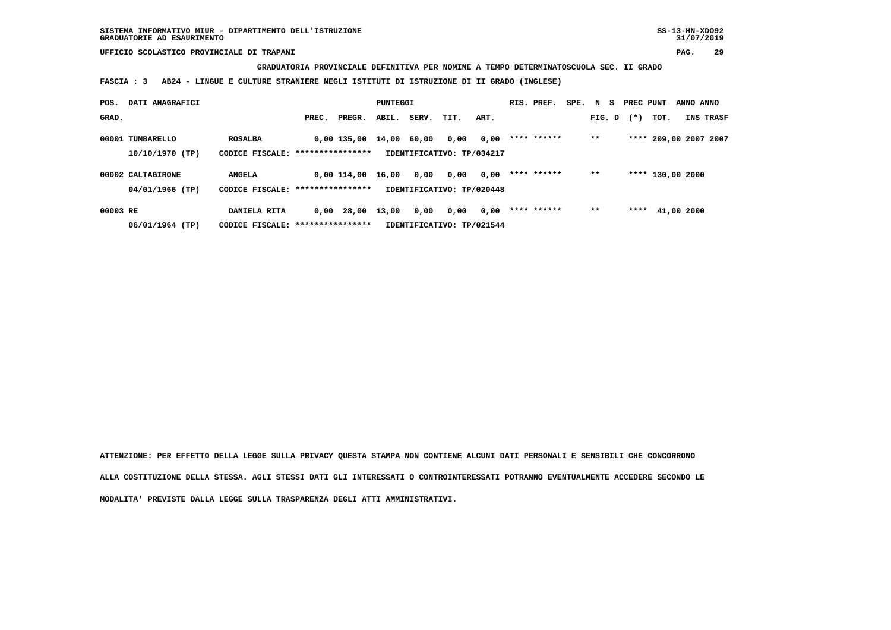## **GRADUATORIA PROVINCIALE DEFINITIVA PER NOMINE A TEMPO DETERMINATOSCUOLA SEC. II GRADO**

 **FASCIA : 3 AB24 - LINGUE E CULTURE STRANIERE NEGLI ISTITUTI DI ISTRUZIONE DI II GRADO (INGLESE)**

| POS.     | DATI ANAGRAFICI   |                                   |       |              | PUNTEGGI |       |                           |      | RIS. PREF.  | SPE. N S |        | PREC PUNT |                       | ANNO ANNO |           |
|----------|-------------------|-----------------------------------|-------|--------------|----------|-------|---------------------------|------|-------------|----------|--------|-----------|-----------------------|-----------|-----------|
| GRAD.    |                   |                                   | PREC. | PREGR.       | ABIL.    | SERV. | TIT.                      | ART. |             |          | FIG. D | $(*)$     | TOT.                  |           | INS TRASF |
|          | 00001 TUMBARELLO  | <b>ROSALBA</b>                    |       | 0,00 135,00  | 14,00    | 60,00 | 0,00                      | 0,00 | **** ****** |          | $***$  |           | **** 209,00 2007 2007 |           |           |
|          | 10/10/1970 (TP)   | CODICE FISCALE: ****************  |       |              |          |       | IDENTIFICATIVO: TP/034217 |      |             |          |        |           |                       |           |           |
|          | 00002 CALTAGIRONE | <b>ANGELA</b>                     |       | 0,00 114,00  | 16,00    | 0,00  | 0,00                      | 0,00 | **** ****** |          | $* *$  |           | **** 130,00 2000      |           |           |
|          | 04/01/1966 (TP)   | CODICE FISCALE: ***************** |       |              |          |       | IDENTIFICATIVO: TP/020448 |      |             |          |        |           |                       |           |           |
| 00003 RE |                   | DANIELA RITA                      |       | $0,00$ 28,00 | 13,00    | 0,00  | 0,00                      | 0,00 | **** ****** |          | $* *$  | ****      | 41,00 2000            |           |           |
|          | 06/01/1964 (TP)   | CODICE FISCALE: ****************  |       |              |          |       | IDENTIFICATIVO: TP/021544 |      |             |          |        |           |                       |           |           |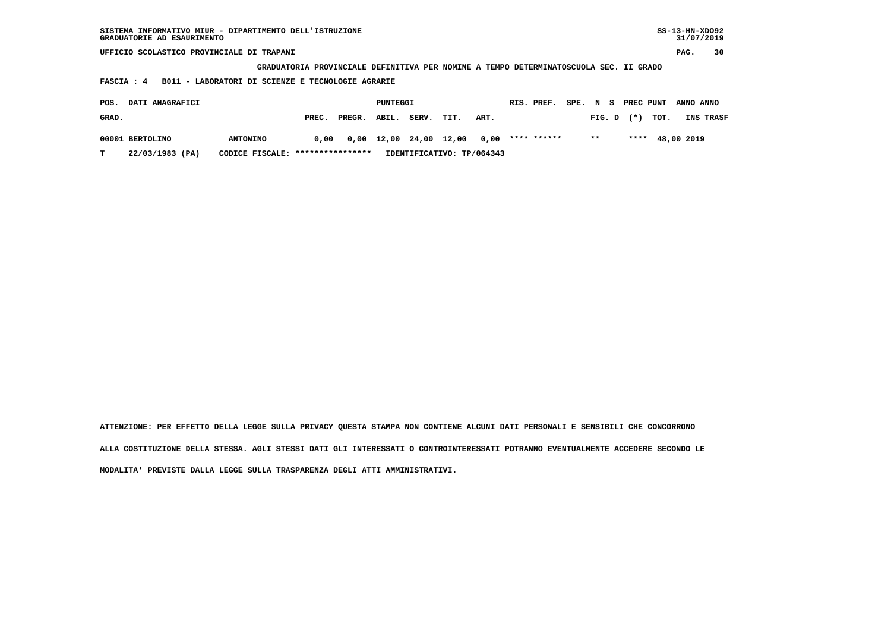| SISTEMA INFORMATIVO MIUR - DIPARTIMENTO DELL'ISTRUZIONE<br>GRADUATORIE AD ESAURIMENTO |                                                                                       |       |        |          |       |       |      |             |      |        |     |           |      | $SS-13-HN-XDO92$ | 31/07/2019 |
|---------------------------------------------------------------------------------------|---------------------------------------------------------------------------------------|-------|--------|----------|-------|-------|------|-------------|------|--------|-----|-----------|------|------------------|------------|
| UFFICIO SCOLASTICO PROVINCIALE DI TRAPANI                                             |                                                                                       |       |        |          |       |       |      |             |      |        |     |           |      | PAG.             | 30         |
|                                                                                       | GRADUATORIA PROVINCIALE DEFINITIVA PER NOMINE A TEMPO DETERMINATOSCUOLA SEC. II GRADO |       |        |          |       |       |      |             |      |        |     |           |      |                  |            |
| FASCIA: 4                                                                             | B011 - LABORATORI DI SCIENZE E TECNOLOGIE AGRARIE                                     |       |        |          |       |       |      |             |      |        |     |           |      |                  |            |
| DATI ANAGRAFICI<br>POS.                                                               |                                                                                       |       |        | PUNTEGGI |       |       |      | RIS. PREF.  | SPE. | N      | - s | PREC PUNT |      | ANNO ANNO        |            |
| GRAD.                                                                                 |                                                                                       | PREC. | PREGR. | ABIL.    | SERV. | TIT.  | ART. |             |      | FIG. D |     | $(*)$     | TOT. |                  | INS TRASF  |
| 00001 BERTOLINO                                                                       | <b>ANTONINO</b>                                                                       | 0.00  | 0,00   | 12,00    | 24,00 | 12,00 | 0.00 | **** ****** |      | $***$  |     | ****      |      | 48,00 2019       |            |

 **T 22/03/1983 (PA) CODICE FISCALE: \*\*\*\*\*\*\*\*\*\*\*\*\*\*\*\* IDENTIFICATIVO: TP/064343**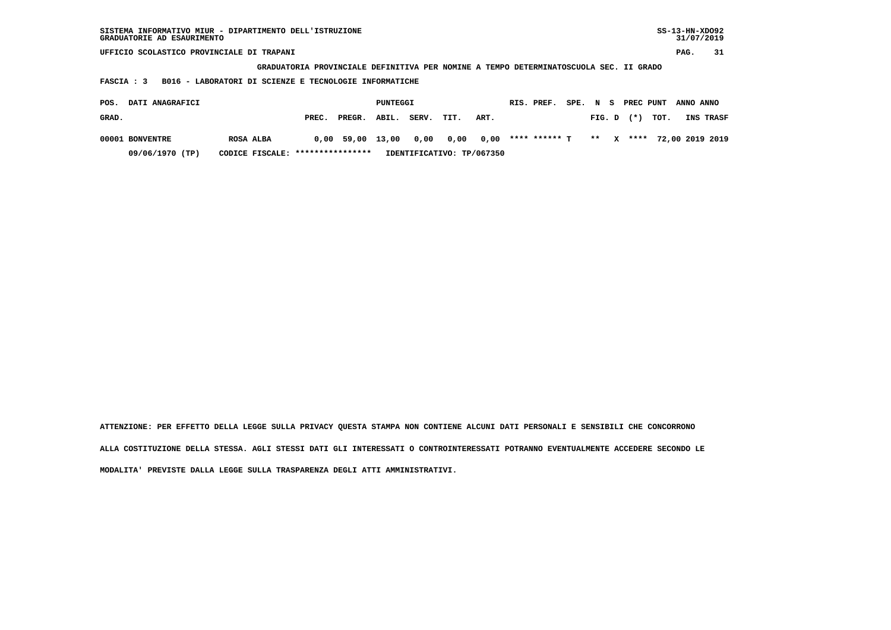| SISTEMA INFORMATIVO MIUR - DIPARTIMENTO DELL'ISTRUZIONE<br>GRADUATORIE AD ESAURIMENTO |                                                                                       |        |          |       |                           |      |            |               |      |        |   |           |      | $SS-13-HN-XDO92$<br>31/07/2019 |                 |
|---------------------------------------------------------------------------------------|---------------------------------------------------------------------------------------|--------|----------|-------|---------------------------|------|------------|---------------|------|--------|---|-----------|------|--------------------------------|-----------------|
| UFFICIO SCOLASTICO PROVINCIALE DI TRAPANI                                             |                                                                                       |        |          |       |                           |      |            |               |      |        |   |           |      | PAG.                           | 31              |
|                                                                                       | GRADUATORIA PROVINCIALE DEFINITIVA PER NOMINE A TEMPO DETERMINATOSCUOLA SEC. II GRADO |        |          |       |                           |      |            |               |      |        |   |           |      |                                |                 |
| B016 - LABORATORI DI SCIENZE E TECNOLOGIE INFORMATICHE<br>FASCIA : 3                  |                                                                                       |        |          |       |                           |      |            |               |      |        |   |           |      |                                |                 |
|                                                                                       |                                                                                       |        |          |       |                           |      |            |               |      |        |   |           |      |                                |                 |
| DATI ANAGRAFICI<br>POS.                                                               |                                                                                       |        | PUNTEGGI |       |                           |      | RIS. PREF. |               | SPE. | N S    |   | PREC PUNT |      | ANNO ANNO                      |                 |
| GRAD.                                                                                 | PREC.                                                                                 | PREGR. | ABIL.    | SERV. | TIT.                      | ART. |            |               |      | FIG. D |   | $(* )$    | TOT. |                                | INS TRASF       |
| 00001 BONVENTRE<br>ROSA ALBA                                                          | 0,00                                                                                  | 59,00  | 13,00    | 0,00  | 0,00                      | 0.00 |            | **** ****** T |      | $***$  | x | ****      |      |                                | 72,00 2019 2019 |
| 09/06/1970 (TP)<br>CODICE FISCALE:                                                    | ****************                                                                      |        |          |       | IDENTIFICATIVO: TP/067350 |      |            |               |      |        |   |           |      |                                |                 |